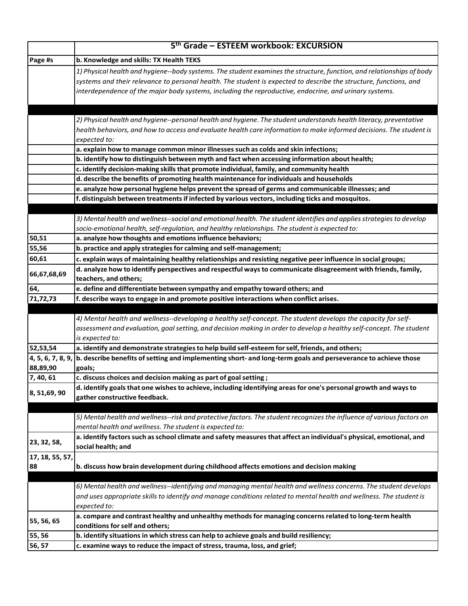|                  | 5th Grade - ESTEEM workbook: EXCURSION                                                                                 |
|------------------|------------------------------------------------------------------------------------------------------------------------|
| Page #s          | b. Knowledge and skills: TX Health TEKS                                                                                |
|                  | 1) Physical health and hygiene--body systems. The student examines the structure, function, and relationships of body  |
|                  | systems and their relevance to personal health. The student is expected to describe the structure, functions, and      |
|                  | interdependence of the major body systems, including the reproductive, endocrine, and urinary systems.                 |
|                  |                                                                                                                        |
|                  |                                                                                                                        |
|                  | 2) Physical health and hygiene--personal health and hygiene. The student understands health literacy, preventative     |
|                  | health behaviors, and how to access and evaluate health care information to make informed decisions. The student is    |
|                  | expected to:                                                                                                           |
|                  | a. explain how to manage common minor illnesses such as colds and skin infections;                                     |
|                  | b. identify how to distinguish between myth and fact when accessing information about health;                          |
|                  | c. identify decision-making skills that promote individual, family, and community health                               |
|                  | d. describe the benefits of promoting health maintenance for individuals and households                                |
|                  | e. analyze how personal hygiene helps prevent the spread of germs and communicable illnesses; and                      |
|                  | f. distinguish between treatments if infected by various vectors, including ticks and mosquitos.                       |
|                  | 3) Mental health and wellness--social and emotional health. The student identifies and applies strategies to develop   |
|                  | socio-emotional health, self-regulation, and healthy relationships. The student is expected to:                        |
| 50,51            | a. analyze how thoughts and emotions influence behaviors;                                                              |
| 55,56            | b. practice and apply strategies for calming and self-management;                                                      |
| 60,61            | c. explain ways of maintaining healthy relationships and resisting negative peer influence in social groups;           |
|                  | d. analyze how to identify perspectives and respectful ways to communicate disagreement with friends, family,          |
| 66,67,68,69      | teachers, and others;                                                                                                  |
| 64,              | e. define and differentiate between sympathy and empathy toward others; and                                            |
| 71,72,73         | f. describe ways to engage in and promote positive interactions when conflict arises.                                  |
|                  |                                                                                                                        |
|                  | 4) Mental health and wellness--developing a healthy self-concept. The student develops the capacity for self-          |
|                  | assessment and evaluation, goal setting, and decision making in order to develop a healthy self-concept. The student   |
|                  | is expected to:                                                                                                        |
| 52,53,54         | a. identify and demonstrate strategies to help build self-esteem for self, friends, and others;                        |
| 4, 5, 6, 7, 8, 9 | b. describe benefits of setting and implementing short- and long-term goals and perseverance to achieve those          |
| 88,89,90         | goals;                                                                                                                 |
| 7, 40, 61        | c. discuss choices and decision making as part of goal setting;                                                        |
|                  | d. identify goals that one wishes to achieve, including identifying areas for one's personal growth and ways to        |
| 8,51,69,90       | gather constructive feedback.                                                                                          |
|                  |                                                                                                                        |
|                  | 5) Mental health and wellness--risk and protective factors. The student recognizes the influence of various factors on |
|                  | mental health and wellness. The student is expected to:                                                                |
| 23, 32, 58,      | a. identify factors such as school climate and safety measures that affect an individual's physical, emotional, and    |
| 17, 18, 55, 57,  | social health; and                                                                                                     |
| 88               | b. discuss how brain development during childhood affects emotions and decision making                                 |
|                  |                                                                                                                        |
|                  | 6) Mental health and wellness--identifying and managing mental health and wellness concerns. The student develops      |
|                  | and uses appropriate skills to identify and manage conditions related to mental health and wellness. The student is    |
|                  | expected to:                                                                                                           |
|                  | a. compare and contrast healthy and unhealthy methods for managing concerns related to long-term health                |
| 55, 56, 65       | conditions for self and others;                                                                                        |
| 55, 56           | b. identify situations in which stress can help to achieve goals and build resiliency;                                 |
| 56, 57           | c. examine ways to reduce the impact of stress, trauma, loss, and grief;                                               |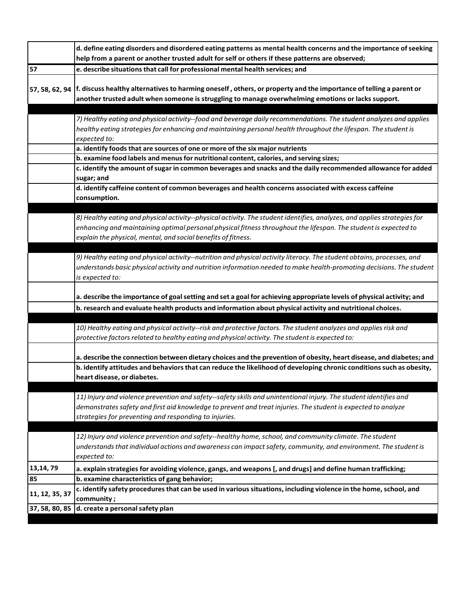|                | d. define eating disorders and disordered eating patterns as mental health concerns and the importance of seeking<br>help from a parent or another trusted adult for self or others if these patterns are observed;                                                                                          |
|----------------|--------------------------------------------------------------------------------------------------------------------------------------------------------------------------------------------------------------------------------------------------------------------------------------------------------------|
| 57             | e. describe situations that call for professional mental health services; and                                                                                                                                                                                                                                |
| 57, 58, 62, 94 | f. discuss healthy alternatives to harming oneself, others, or property and the importance of telling a parent or<br>another trusted adult when someone is struggling to manage overwhelming emotions or lacks support.                                                                                      |
|                | 7) Healthy eating and physical activity--food and beverage daily recommendations. The student analyzes and applies<br>healthy eating strategies for enhancing and maintaining personal health throughout the lifespan. The student is<br>expected to:                                                        |
|                | a. identify foods that are sources of one or more of the six major nutrients                                                                                                                                                                                                                                 |
|                | b. examine food labels and menus for nutritional content, calories, and serving sizes;                                                                                                                                                                                                                       |
|                | c. identify the amount of sugar in common beverages and snacks and the daily recommended allowance for added<br>sugar; and                                                                                                                                                                                   |
|                | d. identify caffeine content of common beverages and health concerns associated with excess caffeine<br>consumption.                                                                                                                                                                                         |
|                | 8) Healthy eating and physical activity--physical activity. The student identifies, analyzes, and applies strategies for<br>enhancing and maintaining optimal personal physical fitness throughout the lifespan. The student is expected to<br>explain the physical, mental, and social benefits of fitness. |
|                |                                                                                                                                                                                                                                                                                                              |
|                | 9) Healthy eating and physical activity--nutrition and physical activity literacy. The student obtains, processes, and                                                                                                                                                                                       |
|                | understands basic physical activity and nutrition information needed to make health-promoting decisions. The student                                                                                                                                                                                         |
|                | is expected to:                                                                                                                                                                                                                                                                                              |
|                | a. describe the importance of goal setting and set a goal for achieving appropriate levels of physical activity; and                                                                                                                                                                                         |
|                | b. research and evaluate health products and information about physical activity and nutritional choices.                                                                                                                                                                                                    |
|                | 10) Healthy eating and physical activity--risk and protective factors. The student analyzes and applies risk and<br>protective factors related to healthy eating and physical activity. The student is expected to:                                                                                          |
|                | a. describe the connection between dietary choices and the prevention of obesity, heart disease, and diabetes; and                                                                                                                                                                                           |
|                | b. identify attitudes and behaviors that can reduce the likelihood of developing chronic conditions such as obesity,<br>heart disease, or diabetes.                                                                                                                                                          |
|                | 11) Injury and violence prevention and safety--safety skills and unintentional injury. The student identifies and<br>demonstrates safety and first aid knowledge to prevent and treat injuries. The student is expected to analyze<br>strategies for preventing and responding to injuries.                  |
|                |                                                                                                                                                                                                                                                                                                              |
|                | 12) Injury and violence prevention and safety--healthy home, school, and community climate. The student                                                                                                                                                                                                      |
|                | understands that individual actions and awareness can impact safety, community, and environment. The student is<br>expected to:                                                                                                                                                                              |
| 13,14,79       | a. explain strategies for avoiding violence, gangs, and weapons [, and drugs] and define human trafficking;                                                                                                                                                                                                  |
| 85             | b. examine characteristics of gang behavior;                                                                                                                                                                                                                                                                 |
| 11, 12, 35, 37 | c. identify safety procedures that can be used in various situations, including violence in the home, school, and<br>community;                                                                                                                                                                              |
| 37, 58, 80, 85 | d. create a personal safety plan                                                                                                                                                                                                                                                                             |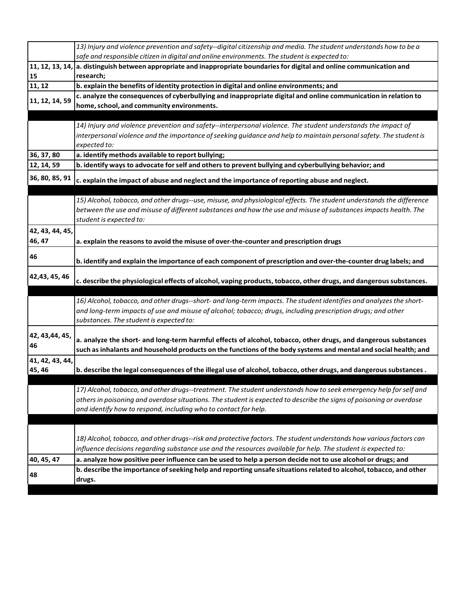|                           | 13) Injury and violence prevention and safety--digital citizenship and media. The student understands how to be a<br>safe and responsible citizen in digital and online environments. The student is expected to:                                                                                           |
|---------------------------|-------------------------------------------------------------------------------------------------------------------------------------------------------------------------------------------------------------------------------------------------------------------------------------------------------------|
|                           |                                                                                                                                                                                                                                                                                                             |
| 15                        | 11, 12, 13, 14, a. distinguish between appropriate and inappropriate boundaries for digital and online communication and<br>research;                                                                                                                                                                       |
| 11, 12                    | b. explain the benefits of identity protection in digital and online environments; and                                                                                                                                                                                                                      |
| 11, 12, 14, 59            | c. analyze the consequences of cyberbullying and inappropriate digital and online communication in relation to<br>home, school, and community environments.                                                                                                                                                 |
|                           |                                                                                                                                                                                                                                                                                                             |
|                           | 14) Injury and violence prevention and safety--interpersonal violence. The student understands the impact of<br>interpersonal violence and the importance of seeking guidance and help to maintain personal safety. The student is<br>expected to:                                                          |
| 36, 37, 80                | a. identify methods available to report bullying;                                                                                                                                                                                                                                                           |
| 12, 14, 59                | b. identify ways to advocate for self and others to prevent bullying and cyberbullying behavior; and                                                                                                                                                                                                        |
| 36, 80, 85, 91            | c. explain the impact of abuse and neglect and the importance of reporting abuse and neglect.                                                                                                                                                                                                               |
|                           | 15) Alcohol, tobacco, and other drugs--use, misuse, and physiological effects. The student understands the difference<br>between the use and misuse of different substances and how the use and misuse of substances impacts health. The<br>student is expected to:                                         |
| 42, 43, 44, 45,<br>46, 47 | a. explain the reasons to avoid the misuse of over-the-counter and prescription drugs                                                                                                                                                                                                                       |
| 46                        | b. identify and explain the importance of each component of prescription and over-the-counter drug labels; and                                                                                                                                                                                              |
| 42,43, 45, 46             | c. describe the physiological effects of alcohol, vaping products, tobacco, other drugs, and dangerous substances.                                                                                                                                                                                          |
|                           | 16) Alcohol, tobacco, and other drugs--short- and long-term impacts. The student identifies and analyzes the short-<br>and long-term impacts of use and misuse of alcohol; tobacco; drugs, including prescription drugs; and other<br>substances. The student is expected to:                               |
| 42, 43, 44, 45,<br>46     | a. analyze the short- and long-term harmful effects of alcohol, tobacco, other drugs, and dangerous substances<br>such as inhalants and household products on the functions of the body systems and mental and social health; and                                                                           |
| 41, 42, 43, 44,<br>45, 46 | b. describe the legal consequences of the illegal use of alcohol, tobacco, other drugs, and dangerous substances.                                                                                                                                                                                           |
|                           | 17) Alcohol, tobacco, and other drugs--treatment. The student understands how to seek emergency help for self and<br>others in poisoning and overdose situations. The student is expected to describe the signs of poisoning or overdose<br>and identify how to respond, including who to contact for help. |
|                           |                                                                                                                                                                                                                                                                                                             |
|                           | 18) Alcohol, tobacco, and other drugs--risk and protective factors. The student understands how various factors can<br>influence decisions regarding substance use and the resources available for help. The student is expected to:                                                                        |
| 40, 45, 47                |                                                                                                                                                                                                                                                                                                             |
| 48                        | a. analyze how positive peer influence can be used to help a person decide not to use alcohol or drugs; and<br>b. describe the importance of seeking help and reporting unsafe situations related to alcohol, tobacco, and other<br>drugs.                                                                  |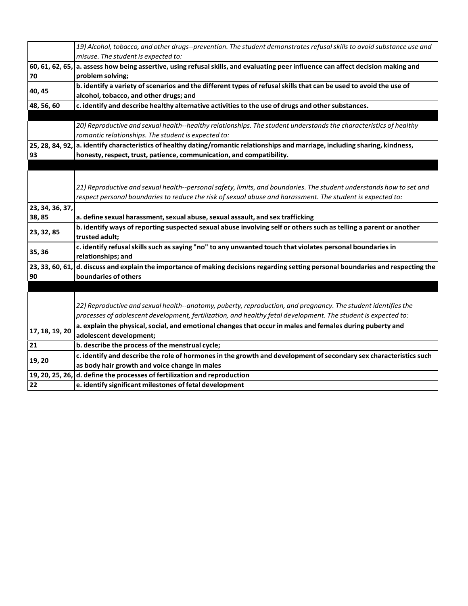|                 | 19) Alcohol, tobacco, and other drugs--prevention. The student demonstrates refusal skills to avoid substance use and              |
|-----------------|------------------------------------------------------------------------------------------------------------------------------------|
|                 | misuse. The student is expected to:                                                                                                |
|                 | 60, 61, 62, 65, a. assess how being assertive, using refusal skills, and evaluating peer influence can affect decision making and  |
| 70              | problem solving;                                                                                                                   |
|                 | b. identify a variety of scenarios and the different types of refusal skills that can be used to avoid the use of                  |
| 40, 45          | alcohol, tobacco, and other drugs; and                                                                                             |
| 48, 56, 60      | c. identify and describe healthy alternative activities to the use of drugs and other substances.                                  |
|                 |                                                                                                                                    |
|                 | 20) Reproductive and sexual health--healthy relationships. The student understands the characteristics of healthy                  |
|                 | romantic relationships. The student is expected to:                                                                                |
|                 | 25, 28, 84, 92, a. identify characteristics of healthy dating/romantic relationships and marriage, including sharing, kindness,    |
| 93              | honesty, respect, trust, patience, communication, and compatibility.                                                               |
|                 |                                                                                                                                    |
|                 |                                                                                                                                    |
|                 | 21) Reproductive and sexual health--personal safety, limits, and boundaries. The student understands how to set and                |
|                 | respect personal boundaries to reduce the risk of sexual abuse and harassment. The student is expected to:                         |
| 23, 34, 36, 37, |                                                                                                                                    |
| 38,85           | a. define sexual harassment, sexual abuse, sexual assault, and sex trafficking                                                     |
|                 | b. identify ways of reporting suspected sexual abuse involving self or others such as telling a parent or another                  |
| 23, 32, 85      | trusted adult;                                                                                                                     |
|                 | c. identify refusal skills such as saying "no" to any unwanted touch that violates personal boundaries in                          |
| 35, 36          | relationships; and                                                                                                                 |
|                 | 23, 33, 60, 61, d. discuss and explain the importance of making decisions regarding setting personal boundaries and respecting the |
| 90              | boundaries of others                                                                                                               |
|                 |                                                                                                                                    |
|                 |                                                                                                                                    |
|                 | 22) Reproductive and sexual health--anatomy, puberty, reproduction, and pregnancy. The student identifies the                      |
|                 | processes of adolescent development, fertilization, and healthy fetal development. The student is expected to:                     |
|                 | a. explain the physical, social, and emotional changes that occur in males and females during puberty and                          |
| 17, 18, 19, 20  | adolescent development;                                                                                                            |
| 21              | b. describe the process of the menstrual cycle;                                                                                    |
|                 | c. identify and describe the role of hormones in the growth and development of secondary sex characteristics such                  |
| 19, 20          | as body hair growth and voice change in males                                                                                      |
| 19, 20, 25, 26, | d. define the processes of fertilization and reproduction                                                                          |
| 22              | e. identify significant milestones of fetal development                                                                            |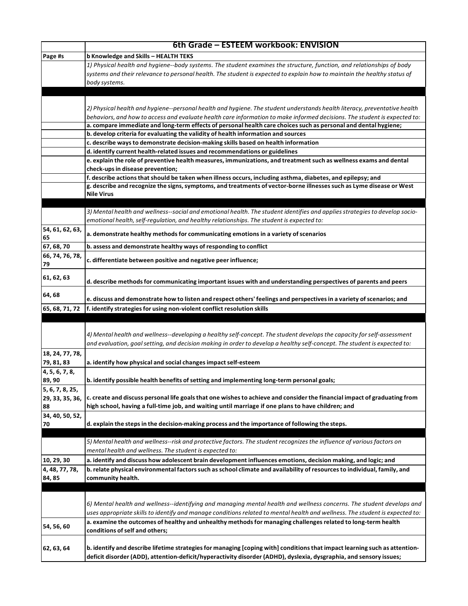|                       | 6th Grade - ESTEEM workbook: ENVISION                                                                                                                                                                                                                  |
|-----------------------|--------------------------------------------------------------------------------------------------------------------------------------------------------------------------------------------------------------------------------------------------------|
| Page #s               | b Knowledge and Skills - HEALTH TEKS                                                                                                                                                                                                                   |
|                       | 1) Physical health and hygiene--body systems. The student examines the structure, function, and relationships of body                                                                                                                                  |
|                       | systems and their relevance to personal health. The student is expected to explain how to maintain the healthy status of                                                                                                                               |
|                       | body systems.                                                                                                                                                                                                                                          |
|                       |                                                                                                                                                                                                                                                        |
|                       |                                                                                                                                                                                                                                                        |
|                       | 2) Physical health and hygiene--personal health and hygiene. The student understands health literacy, preventative health<br>behaviors, and how to access and evaluate health care information to make informed decisions. The student is expected to: |
|                       | a. compare immediate and long-term effects of personal health care choices such as personal and dental hygiene;                                                                                                                                        |
|                       | b. develop criteria for evaluating the validity of health information and sources                                                                                                                                                                      |
|                       | c. describe ways to demonstrate decision-making skills based on health information                                                                                                                                                                     |
|                       | d. identify current health-related issues and recommendations or guidelines                                                                                                                                                                            |
|                       | e. explain the role of preventive health measures, immunizations, and treatment such as wellness exams and dental                                                                                                                                      |
|                       | check-ups in disease prevention;                                                                                                                                                                                                                       |
|                       | f. describe actions that should be taken when illness occurs, including asthma, diabetes, and epilepsy; and                                                                                                                                            |
|                       | g. describe and recognize the signs, symptoms, and treatments of vector-borne illnesses such as Lyme disease or West<br><b>Nile Virus</b>                                                                                                              |
|                       |                                                                                                                                                                                                                                                        |
|                       | 3) Mental health and wellness--social and emotional health. The student identifies and applies strategies to develop socio-                                                                                                                            |
|                       | emotional health, self-regulation, and healthy relationships. The student is expected to:                                                                                                                                                              |
| 54, 61, 62, 63,<br>65 | a. demonstrate healthy methods for communicating emotions in a variety of scenarios                                                                                                                                                                    |
| 67, 68, 70            | b. assess and demonstrate healthy ways of responding to conflict                                                                                                                                                                                       |
| 66, 74, 76, 78,       |                                                                                                                                                                                                                                                        |
| 79                    | c. differentiate between positive and negative peer influence;                                                                                                                                                                                         |
| 61, 62, 63            | d. describe methods for communicating important issues with and understanding perspectives of parents and peers                                                                                                                                        |
| 64,68                 | e. discuss and demonstrate how to listen and respect others' feelings and perspectives in a variety of scenarios; and                                                                                                                                  |
| 65, 68, 71, 72        | f. identify strategies for using non-violent conflict resolution skills                                                                                                                                                                                |
|                       |                                                                                                                                                                                                                                                        |
|                       | 4) Mental health and wellness--developing a healthy self-concept. The student develops the capacity for self-assessment                                                                                                                                |
|                       | and evaluation, goal setting, and decision making in order to develop a healthy self-concept. The student is expected to:                                                                                                                              |
| 18, 24, 77, 78,       |                                                                                                                                                                                                                                                        |
| 79, 81, 83            | a. identify how physical and social changes impact self-esteem                                                                                                                                                                                         |
| 4, 5, 6, 7, 8,        |                                                                                                                                                                                                                                                        |
| 89,90                 | b. identify possible health benefits of setting and implementing long-term personal goals;                                                                                                                                                             |
| 5, 6, 7, 8, 25,       |                                                                                                                                                                                                                                                        |
| 29, 33, 35, 36,       | c. create and discuss personal life goals that one wishes to achieve and consider the financial impact of graduating from                                                                                                                              |
| 88                    | high school, having a full-time job, and waiting until marriage if one plans to have children; and                                                                                                                                                     |
| 34, 40, 50, 52,       |                                                                                                                                                                                                                                                        |
| 70                    | d. explain the steps in the decision-making process and the importance of following the steps.                                                                                                                                                         |
|                       | 5) Mental health and wellness--risk and protective factors. The student recognizes the influence of various factors on                                                                                                                                 |
|                       | mental health and wellness. The student is expected to:                                                                                                                                                                                                |
| 10, 29, 30            | a. identify and discuss how adolescent brain development influences emotions, decision making, and logic; and                                                                                                                                          |
| 4, 48, 77, 78,        | b. relate physical environmental factors such as school climate and availability of resources to individual, family, and                                                                                                                               |
| 84,85                 | community health.                                                                                                                                                                                                                                      |
|                       |                                                                                                                                                                                                                                                        |
|                       |                                                                                                                                                                                                                                                        |
|                       | 6) Mental health and wellness--identifying and managing mental health and wellness concerns. The student develops and                                                                                                                                  |
|                       | uses appropriate skills to identify and manage conditions related to mental health and wellness. The student is expected to:                                                                                                                           |
| 54, 56, 60            | a. examine the outcomes of healthy and unhealthy methods for managing challenges related to long-term health<br>conditions of self and others;                                                                                                         |
|                       |                                                                                                                                                                                                                                                        |
| 62, 63, 64            | b. identify and describe lifetime strategies for managing [coping with] conditions that impact learning such as attention-                                                                                                                             |
|                       | deficit disorder (ADD), attention-deficit/hyperactivity disorder (ADHD), dyslexia, dysgraphia, and sensory issues;                                                                                                                                     |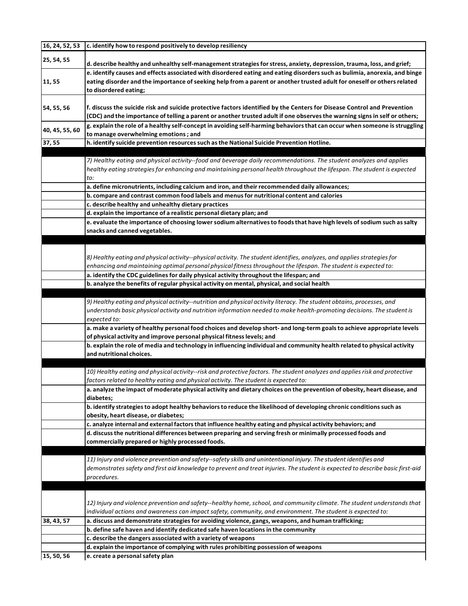| 16, 24, 52, 53 | c. identify how to respond positively to develop resiliency                                                                                         |
|----------------|-----------------------------------------------------------------------------------------------------------------------------------------------------|
|                |                                                                                                                                                     |
| 25, 54, 55     | d. describe healthy and unhealthy self-management strategies for stress, anxiety, depression, trauma, loss, and grief;                              |
|                | e. identify causes and effects associated with disordered eating and eating disorders such as bulimia, anorexia, and binge                          |
| 11,55          | eating disorder and the importance of seeking help from a parent or another trusted adult for oneself or others related                             |
|                | to disordered eating;                                                                                                                               |
|                |                                                                                                                                                     |
| 54, 55, 56     | f. discuss the suicide risk and suicide protective factors identified by the Centers for Disease Control and Prevention                             |
|                | (CDC) and the importance of telling a parent or another trusted adult if one observes the warning signs in self or others;                          |
|                | g. explain the role of a healthy self-concept in avoiding self-harming behaviors that can occur when someone is struggling                          |
| 40, 45, 55, 60 | to manage overwhelming emotions; and                                                                                                                |
| 37,55          | h. identify suicide prevention resources such as the National Suicide Prevention Hotline.                                                           |
|                |                                                                                                                                                     |
|                | 7) Healthy eating and physical activity--food and beverage daily recommendations. The student analyzes and applies                                  |
|                | healthy eating strategies for enhancing and maintaining personal health throughout the lifespan. The student is expected                            |
|                | to:                                                                                                                                                 |
|                | a. define micronutrients, including calcium and iron, and their recommended daily allowances;                                                       |
|                |                                                                                                                                                     |
|                | b. compare and contrast common food labels and menus for nutritional content and calories<br>c. describe healthy and unhealthy dietary practices    |
|                |                                                                                                                                                     |
|                | d. explain the importance of a realistic personal dietary plan; and                                                                                 |
|                | e. evaluate the importance of choosing lower sodium alternatives to foods that have high levels of sodium such as salty                             |
|                | snacks and canned vegetables.                                                                                                                       |
|                |                                                                                                                                                     |
|                | 8) Healthy eating and physical activity--physical activity. The student identifies, analyzes, and applies strategies for                            |
|                |                                                                                                                                                     |
|                | enhancing and maintaining optimal personal physical fitness throughout the lifespan. The student is expected to:                                    |
|                | a. identify the CDC guidelines for daily physical activity throughout the lifespan; and                                                             |
|                | b. analyze the benefits of regular physical activity on mental, physical, and social health                                                         |
|                |                                                                                                                                                     |
|                | 9) Healthy eating and physical activity--nutrition and physical activity literacy. The student obtains, processes, and                              |
|                | understands basic physical activity and nutrition information needed to make health-promoting decisions. The student is                             |
|                | expected to:                                                                                                                                        |
|                | a. make a variety of healthy personal food choices and develop short- and long-term goals to achieve appropriate levels                             |
|                | of physical activity and improve personal physical fitness levels; and                                                                              |
|                | b. explain the role of media and technology in influencing individual and community health related to physical activity<br>and nutritional choices. |
|                |                                                                                                                                                     |
|                | 10) Healthy eating and physical activity--risk and protective factors. The student analyzes and applies risk and protective                         |
|                | factors related to healthy eating and physical activity. The student is expected to:                                                                |
|                | a. analyze the impact of moderate physical activity and dietary choices on the prevention of obesity, heart disease, and                            |
|                | diabetes;                                                                                                                                           |
|                | b. identify strategies to adopt healthy behaviors to reduce the likelihood of developing chronic conditions such as                                 |
|                | obesity, heart disease, or diabetes;                                                                                                                |
|                | c. analyze internal and external factors that influence healthy eating and physical activity behaviors; and                                         |
|                | d. discuss the nutritional differences between preparing and serving fresh or minimally processed foods and                                         |
|                | commercially prepared or highly processed foods.                                                                                                    |
|                |                                                                                                                                                     |
|                | 11) Injury and violence prevention and safety--safety skills and unintentional injury. The student identifies and                                   |
|                | demonstrates safety and first aid knowledge to prevent and treat injuries. The student is expected to describe basic first-aid                      |
|                | procedures.                                                                                                                                         |
|                |                                                                                                                                                     |
|                |                                                                                                                                                     |
|                | 12) Injury and violence prevention and safety--healthy home, school, and community climate. The student understands that                            |
|                | individual actions and awareness can impact safety, community, and environment. The student is expected to:                                         |
| 38, 43, 57     | a. discuss and demonstrate strategies for avoiding violence, gangs, weapons, and human trafficking;                                                 |
|                | b. define safe haven and identify dedicated safe haven locations in the community                                                                   |
|                | c. describe the dangers associated with a variety of weapons                                                                                        |
|                | d. explain the importance of complying with rules prohibiting possession of weapons                                                                 |
| 15, 50, 56     | e. create a personal safety plan                                                                                                                    |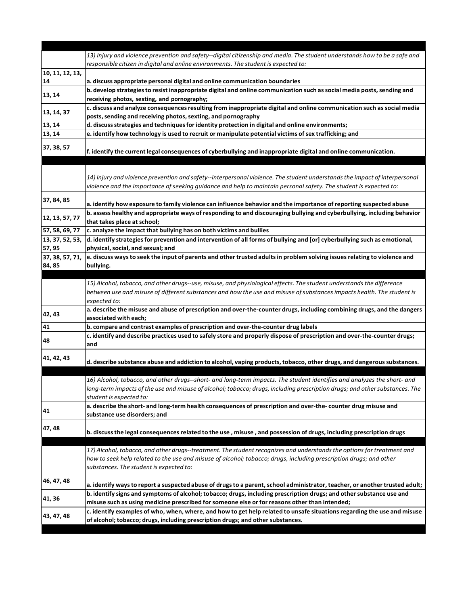|                 | 13) Injury and violence prevention and safety--digital citizenship and media. The student understands how to be a safe and  |
|-----------------|-----------------------------------------------------------------------------------------------------------------------------|
|                 | responsible citizen in digital and online environments. The student is expected to:                                         |
| 10, 11, 12, 13, |                                                                                                                             |
| 14              | a. discuss appropriate personal digital and online communication boundaries                                                 |
|                 | b. develop strategies to resist inappropriate digital and online communication such as social media posts, sending and      |
| 13, 14          | receiving photos, sexting, and pornography;                                                                                 |
|                 | c. discuss and analyze consequences resulting from inappropriate digital and online communication such as social media      |
| 13, 14, 37      |                                                                                                                             |
|                 | posts, sending and receiving photos, sexting, and pornography                                                               |
| 13, 14          | d. discuss strategies and techniques for identity protection in digital and online environments;                            |
| 13, 14          | e. identify how technology is used to recruit or manipulate potential victims of sex trafficking; and                       |
| 37, 38, 57      |                                                                                                                             |
|                 | f. identify the current legal consequences of cyberbullying and inappropriate digital and online communication.             |
|                 |                                                                                                                             |
|                 |                                                                                                                             |
|                 | 14) Injury and violence prevention and safety--interpersonal violence. The student understands the impact of interpersonal  |
|                 | violence and the importance of seeking guidance and help to maintain personal safety. The student is expected to:           |
|                 |                                                                                                                             |
| 37, 84, 85      | a. identify how exposure to family violence can influence behavior and the importance of reporting suspected abuse          |
|                 | b. assess healthy and appropriate ways of responding to and discouraging bullying and cyberbullying, including behavior     |
| 12, 13, 57, 77  | that takes place at school;                                                                                                 |
|                 |                                                                                                                             |
| 57, 58, 69, 77  | c. analyze the impact that bullying has on both victims and bullies                                                         |
| 13, 37, 52, 53, | d. identify strategies for prevention and intervention of all forms of bullying and [or] cyberbullying such as emotional,   |
| 57,95           | physical, social, and sexual; and                                                                                           |
| 37, 38, 57, 71, | e. discuss ways to seek the input of parents and other trusted adults in problem solving issues relating to violence and    |
| 84,85           | bullying.                                                                                                                   |
|                 |                                                                                                                             |
|                 | 15) Alcohol, tobacco, and other drugs--use, misuse, and physiological effects. The student understands the difference       |
|                 |                                                                                                                             |
|                 |                                                                                                                             |
|                 | between use and misuse of different substances and how the use and misuse of substances impacts health. The student is      |
|                 | expected to:                                                                                                                |
|                 | a. describe the misuse and abuse of prescription and over-the-counter drugs, including combining drugs, and the dangers     |
| 42, 43          | associated with each;                                                                                                       |
| 41              | b. compare and contrast examples of prescription and over-the-counter drug labels                                           |
|                 | c. identify and describe practices used to safely store and properly dispose of prescription and over-the-counter drugs;    |
| 48              | and                                                                                                                         |
|                 |                                                                                                                             |
| 41, 42, 43      | d. describe substance abuse and addiction to alcohol, vaping products, tobacco, other drugs, and dangerous substances.      |
|                 |                                                                                                                             |
|                 |                                                                                                                             |
|                 | 16) Alcohol, tobacco, and other drugs--short- and long-term impacts. The student identifies and analyzes the short- and     |
|                 | long-term impacts of the use and misuse of alcohol; tobacco; drugs, including prescription drugs; and other substances. The |
|                 | student is expected to:                                                                                                     |
|                 | a. describe the short- and long-term health consequences of prescription and over-the-counter drug misuse and               |
| 41              | substance use disorders; and                                                                                                |
|                 |                                                                                                                             |
| 47,48           | b. discuss the legal consequences related to the use, misuse, and possession of drugs, including prescription drugs         |
|                 |                                                                                                                             |
|                 | 17) Alcohol, tobacco, and other drugs--treatment. The student recognizes and understands the options for treatment and      |
|                 |                                                                                                                             |
|                 | how to seek help related to the use and misuse of alcohol; tobacco; drugs, including prescription drugs; and other          |
|                 | substances. The student is expected to:                                                                                     |
| 46, 47, 48      |                                                                                                                             |
|                 | a. identify ways to report a suspected abuse of drugs to a parent, school administrator, teacher, or another trusted adult; |
|                 | b. identify signs and symptoms of alcohol; tobacco; drugs, including prescription drugs; and other substance use and        |
| 41,36           | misuse such as using medicine prescribed for someone else or for reasons other than intended;                               |
|                 | c. identify examples of who, when, where, and how to get help related to unsafe situations regarding the use and misuse     |
| 43, 47, 48      | of alcohol; tobacco; drugs, including prescription drugs; and other substances.                                             |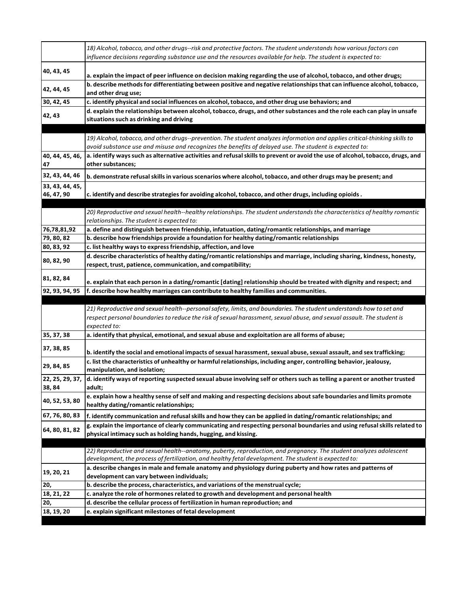|                       | 18) Alcohol, tobacco, and other drugs--risk and protective factors. The student understands how various factors can<br>influence decisions regarding substance use and the resources available for help. The student is expected to:  |
|-----------------------|---------------------------------------------------------------------------------------------------------------------------------------------------------------------------------------------------------------------------------------|
| 40, 43, 45            | a. explain the impact of peer influence on decision making regarding the use of alcohol, tobacco, and other drugs;                                                                                                                    |
| 42, 44, 45            | b. describe methods for differentiating between positive and negative relationships that can influence alcohol, tobacco,<br>and other drug use;                                                                                       |
| 30, 42, 45            | c. identify physical and social influences on alcohol, tobacco, and other drug use behaviors; and                                                                                                                                     |
| 42, 43                | d. explain the relationships between alcohol, tobacco, drugs, and other substances and the role each can play in unsafe<br>situations such as drinking and driving                                                                    |
|                       |                                                                                                                                                                                                                                       |
|                       | 19) Alcohol, tobacco, and other drugs--prevention. The student analyzes information and applies critical-thinking skills to<br>avoid substance use and misuse and recognizes the benefits of delayed use. The student is expected to: |
| 40, 44, 45, 46,<br>47 | a. identify ways such as alternative activities and refusal skills to prevent or avoid the use of alcohol, tobacco, drugs, and<br>other substances;                                                                                   |
| 32, 43, 44, 46        | b. demonstrate refusal skills in various scenarios where alcohol, tobacco, and other drugs may be present; and                                                                                                                        |
| 33, 43, 44, 45,       |                                                                                                                                                                                                                                       |
| 46, 47, 90            | c. identify and describe strategies for avoiding alcohol, tobacco, and other drugs, including opioids .                                                                                                                               |
|                       |                                                                                                                                                                                                                                       |
|                       | 20) Reproductive and sexual health--healthy relationships. The student understands the characteristics of healthy romantic<br>relationships. The student is expected to:                                                              |
| 76,78,81,92           | a. define and distinguish between friendship, infatuation, dating/romantic relationships, and marriage                                                                                                                                |
| 79, 80, 82            | b. describe how friendships provide a foundation for healthy dating/romantic relationships                                                                                                                                            |
| 80, 83, 92            | c. list healthy ways to express friendship, affection, and love                                                                                                                                                                       |
| 80, 82, 90            | d. describe characteristics of healthy dating/romantic relationships and marriage, including sharing, kindness, honesty,<br>respect, trust, patience, communication, and compatibility;                                               |
| 81, 82, 84            | e. explain that each person in a dating/romantic [dating] relationship should be treated with dignity and respect; and                                                                                                                |
| 92, 93, 94, 95        | f. describe how healthy marriages can contribute to healthy families and communities.                                                                                                                                                 |
|                       |                                                                                                                                                                                                                                       |
|                       | 21) Reproductive and sexual health--personal safety, limits, and boundaries. The student understands how to set and                                                                                                                   |
|                       | respect personal boundaries to reduce the risk of sexual harassment, sexual abuse, and sexual assault. The student is                                                                                                                 |
|                       | expected to:                                                                                                                                                                                                                          |
| 35, 37, 38            | a. identify that physical, emotional, and sexual abuse and exploitation are all forms of abuse;                                                                                                                                       |
| 37, 38, 85            | b. identify the social and emotional impacts of sexual harassment, sexual abuse, sexual assault, and sex trafficking;                                                                                                                 |
| 29, 84, 85            | c. list the characteristics of unhealthy or harmful relationships, including anger, controlling behavior, jealousy,                                                                                                                   |
|                       | manipulation, and isolation;                                                                                                                                                                                                          |
| 22, 25, 29, 37,       | d. identify ways of reporting suspected sexual abuse involving self or others such as telling a parent or another trusted                                                                                                             |
| 38,84                 | adult;                                                                                                                                                                                                                                |
| 40, 52, 53, 80        | e. explain how a healthy sense of self and making and respecting decisions about safe boundaries and limits promote<br>healthy dating/romantic relationships;                                                                         |
| 67, 76, 80, 83        | f. identify communication and refusal skills and how they can be applied in dating/romantic relationships; and                                                                                                                        |
| 64, 80, 81, 82        | g. explain the importance of clearly communicating and respecting personal boundaries and using refusal skills related to<br>physical intimacy such as holding hands, hugging, and kissing.                                           |
|                       |                                                                                                                                                                                                                                       |
|                       | 22) Reproductive and sexual health--anatomy, puberty, reproduction, and pregnancy. The student analyzes adolescent<br>development, the process of fertilization, and healthy fetal development. The student is expected to:           |
| 19, 20, 21            | a. describe changes in male and female anatomy and physiology during puberty and how rates and patterns of<br>development can vary between individuals;                                                                               |
| 20,                   | b. describe the process, characteristics, and variations of the menstrual cycle;                                                                                                                                                      |
| 18, 21, 22            | c. analyze the role of hormones related to growth and development and personal health                                                                                                                                                 |
| 20,                   | d. describe the cellular process of fertilization in human reproduction; and                                                                                                                                                          |
| 18, 19, 20            | e. explain significant milestones of fetal development                                                                                                                                                                                |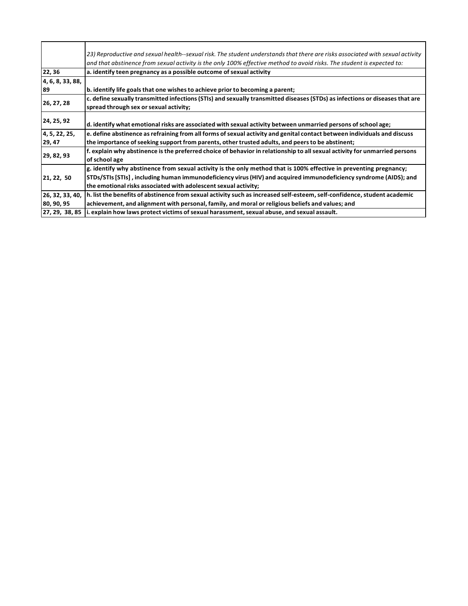|                  | 23) Reproductive and sexual health--sexual risk. The student understands that there are risks associated with sexual activity |
|------------------|-------------------------------------------------------------------------------------------------------------------------------|
|                  | and that abstinence from sexual activity is the only 100% effective method to avoid risks. The student is expected to:        |
| 22,36            | a. identify teen pregnancy as a possible outcome of sexual activity                                                           |
| 4, 6, 8, 33, 88, |                                                                                                                               |
| 89               | b. identify life goals that one wishes to achieve prior to becoming a parent;                                                 |
| 26, 27, 28       | c. define sexually transmitted infections (STIs) and sexually transmitted diseases (STDs) as infections or diseases that are  |
|                  | spread through sex or sexual activity;                                                                                        |
| 24, 25, 92       | d. identify what emotional risks are associated with sexual activity between unmarried persons of school age;                 |
| 4, 5, 22, 25,    | e. define abstinence as refraining from all forms of sexual activity and genital contact between individuals and discuss      |
| 29,47            | the importance of seeking support from parents, other trusted adults, and peers to be abstinent;                              |
| 29, 82, 93       | f. explain why abstinence is the preferred choice of behavior in relationship to all sexual activity for unmarried persons    |
|                  | of school age                                                                                                                 |
|                  | g. identify why abstinence from sexual activity is the only method that is 100% effective in preventing pregnancy;            |
| 21, 22, 50       | STDs/STIs [STIs], including human immunodeficiency virus (HIV) and acquired immunodeficiency syndrome (AIDS); and             |
|                  | the emotional risks associated with adolescent sexual activity;                                                               |
| 26, 32, 33, 40,  | h. list the benefits of abstinence from sexual activity such as increased self-esteem, self-confidence, student academic      |
| 80, 90, 95       | achievement, and alignment with personal, family, and moral or religious beliefs and values; and                              |
| 27, 29, 38, 85   | $\vert$ i. explain how laws protect victims of sexual harassment, sexual abuse, and sexual assault.                           |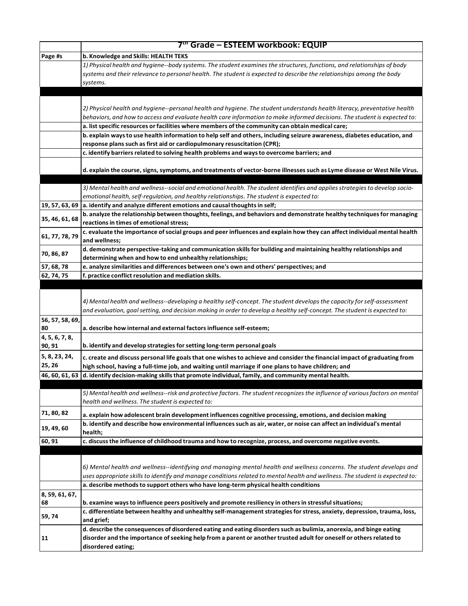|                 | 7 <sup>th</sup> Grade - ESTEEM workbook: EQUIP                                                                                                                                                      |
|-----------------|-----------------------------------------------------------------------------------------------------------------------------------------------------------------------------------------------------|
| Page #s         | b. Knowledge and Skills: HEALTH TEKS                                                                                                                                                                |
|                 | 1) Physical health and hygiene--body systems. The student examines the structures, functions, and relationships of body                                                                             |
|                 | systems and their relevance to personal health. The student is expected to describe the relationships among the body                                                                                |
|                 | systems.                                                                                                                                                                                            |
|                 |                                                                                                                                                                                                     |
|                 |                                                                                                                                                                                                     |
|                 | 2) Physical health and hygiene--personal health and hygiene. The student understands health literacy, preventative health                                                                           |
|                 | behaviors, and how to access and evaluate health care information to make informed decisions. The student is expected to:                                                                           |
|                 | a. list specific resources or facilities where members of the community can obtain medical care;                                                                                                    |
|                 | b. explain ways to use health information to help self and others, including seizure awareness, diabetes education, and<br>response plans such as first aid or cardiopulmonary resuscitation (CPR); |
|                 | c. identify barriers related to solving health problems and ways to overcome barriers; and                                                                                                          |
|                 |                                                                                                                                                                                                     |
|                 | d. explain the course, signs, symptoms, and treatments of vector-borne illnesses such as Lyme disease or West Nile Virus.                                                                           |
|                 |                                                                                                                                                                                                     |
|                 | 3) Mental health and wellness--social and emotional health. The student identifies and applies strategies to develop socio-                                                                         |
|                 | emotional health, self-regulation, and healthy relationships. The student is expected to:                                                                                                           |
|                 | 19, 57, 63, 69 $ a$ . identify and analyze different emotions and causal thoughts in self;                                                                                                          |
| 35, 46, 61, 68  | b. analyze the relationship between thoughts, feelings, and behaviors and demonstrate healthy techniques for managing                                                                               |
|                 | reactions in times of emotional stress:                                                                                                                                                             |
| 61, 77, 78, 79  | c. evaluate the importance of social groups and peer influences and explain how they can affect individual mental health                                                                            |
|                 | and wellness;                                                                                                                                                                                       |
| 70, 86, 87      | d. demonstrate perspective-taking and communication skills for building and maintaining healthy relationships and<br>determining when and how to end unhealthy relationships;                       |
| 57, 68, 78      | e. analyze similarities and differences between one's own and others' perspectives; and                                                                                                             |
| 62, 74, 75      | f. practice conflict resolution and mediation skills.                                                                                                                                               |
|                 |                                                                                                                                                                                                     |
|                 |                                                                                                                                                                                                     |
|                 | 4) Mental health and wellness--developing a healthy self-concept. The student develops the capacity for self-assessment                                                                             |
|                 | and evaluation, goal setting, and decision making in order to develop a healthy self-concept. The student is expected to:                                                                           |
| 56, 57, 58, 69, |                                                                                                                                                                                                     |
| 80              | a. describe how internal and external factors influence self-esteem;                                                                                                                                |
| 4, 5, 6, 7, 8,  |                                                                                                                                                                                                     |
| 90, 91          | b. identify and develop strategies for setting long-term personal goals                                                                                                                             |
| 5, 8, 23, 24,   | c. create and discuss personal life goals that one wishes to achieve and consider the financial impact of graduating from                                                                           |
| 25, 26          | high school, having a full-time job, and waiting until marriage if one plans to have children; and                                                                                                  |
|                 | 46, 60, 61, 63 d. identify decision-making skills that promote individual, family, and community mental health.                                                                                     |
|                 | 5) Mental health and wellness--risk and protective factors. The student recognizes the influence of various factors on mental                                                                       |
|                 | health and wellness. The student is expected to:                                                                                                                                                    |
| 71, 80, 82      |                                                                                                                                                                                                     |
|                 | a. explain how adolescent brain development influences cognitive processing, emotions, and decision making                                                                                          |
| 19, 49, 60      | b. identify and describe how environmental influences such as air, water, or noise can affect an individual's mental<br>health;                                                                     |
| 60, 91          | c. discuss the influence of childhood trauma and how to recognize, process, and overcome negative events.                                                                                           |
|                 |                                                                                                                                                                                                     |
|                 |                                                                                                                                                                                                     |
|                 | 6) Mental health and wellness--identifying and managing mental health and wellness concerns. The student develops and                                                                               |
|                 | uses appropriate skills to identify and manage conditions related to mental health and wellness. The student is expected to:                                                                        |
|                 | a. describe methods to support others who have long-term physical health conditions                                                                                                                 |
| 8, 59, 61, 67,  |                                                                                                                                                                                                     |
| 68              | b. examine ways to influence peers positively and promote resiliency in others in stressful situations;                                                                                             |
| 59,74           | c. differentiate between healthy and unhealthy self-management strategies for stress, anxiety, depression, trauma, loss,                                                                            |
|                 | and grief;                                                                                                                                                                                          |
|                 | d. describe the consequences of disordered eating and eating disorders such as bulimia, anorexia, and binge eating                                                                                  |
| 11              | disorder and the importance of seeking help from a parent or another trusted adult for oneself or others related to<br>disordered eating;                                                           |
|                 |                                                                                                                                                                                                     |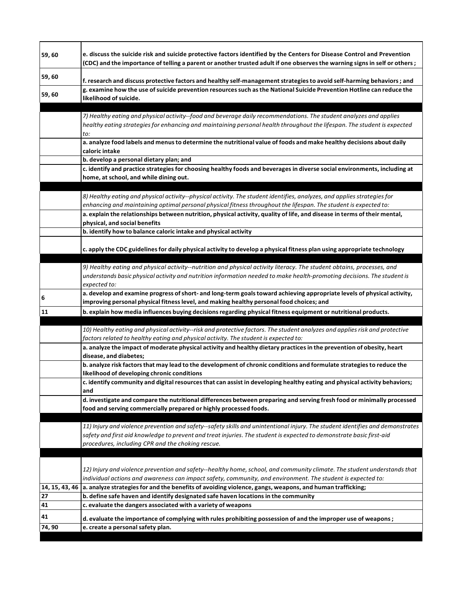| 59,60                | e. discuss the suicide risk and suicide protective factors identified by the Centers for Disease Control and Prevention<br>(CDC) and the importance of telling a parent or another trusted adult if one observes the warning signs in self or others; |
|----------------------|-------------------------------------------------------------------------------------------------------------------------------------------------------------------------------------------------------------------------------------------------------|
| 59,60                | f. research and discuss protective factors and healthy self-management strategies to avoid self-harming behaviors; and                                                                                                                                |
| 59,60                | g. examine how the use of suicide prevention resources such as the National Suicide Prevention Hotline can reduce the<br>likelihood of suicide.                                                                                                       |
|                      |                                                                                                                                                                                                                                                       |
|                      | 7) Healthy eating and physical activity--food and beverage daily recommendations. The student analyzes and applies<br>healthy eating strategies for enhancing and maintaining personal health throughout the lifespan. The student is expected        |
|                      | to:<br>a. analyze food labels and menus to determine the nutritional value of foods and make healthy decisions about daily                                                                                                                            |
|                      | caloric intake                                                                                                                                                                                                                                        |
|                      | b. develop a personal dietary plan; and                                                                                                                                                                                                               |
|                      | c. identify and practice strategies for choosing healthy foods and beverages in diverse social environments, including at<br>home, at school, and while dining out.                                                                                   |
|                      | 8) Healthy eating and physical activity--physical activity. The student identifies, analyzes, and applies strategies for                                                                                                                              |
|                      | enhancing and maintaining optimal personal physical fitness throughout the lifespan. The student is expected to:                                                                                                                                      |
|                      | a. explain the relationships between nutrition, physical activity, quality of life, and disease in terms of their mental,<br>physical, and social benefits                                                                                            |
|                      | b. identify how to balance caloric intake and physical activity                                                                                                                                                                                       |
|                      | c. apply the CDC guidelines for daily physical activity to develop a physical fitness plan using appropriate technology                                                                                                                               |
|                      | 9) Healthy eating and physical activity--nutrition and physical activity literacy. The student obtains, processes, and                                                                                                                                |
|                      | understands basic physical activity and nutrition information needed to make health-promoting decisions. The student is<br>expected to:                                                                                                               |
| 6                    | a. develop and examine progress of short- and long-term goals toward achieving appropriate levels of physical activity,<br>improving personal physical fitness level, and making healthy personal food choices; and                                   |
| 11                   | b. explain how media influences buying decisions regarding physical fitness equipment or nutritional products.                                                                                                                                        |
|                      |                                                                                                                                                                                                                                                       |
|                      | 10) Healthy eating and physical activity--risk and protective factors. The student analyzes and applies risk and protective<br>factors related to healthy eating and physical activity. The student is expected to:                                   |
|                      | a. analyze the impact of moderate physical activity and healthy dietary practices in the prevention of obesity, heart                                                                                                                                 |
|                      | disease, and diabetes;                                                                                                                                                                                                                                |
|                      | b. analyze risk factors that may lead to the development of chronic conditions and formulate strategies to reduce the                                                                                                                                 |
|                      | likelihood of developing chronic conditions<br>c. identify community and digital resources that can assist in developing healthy eating and physical activity behaviors;                                                                              |
|                      | and                                                                                                                                                                                                                                                   |
|                      | d. investigate and compare the nutritional differences between preparing and serving fresh food or minimally processed<br>food and serving commercially prepared or highly processed foods.                                                           |
|                      | 11) Injury and violence prevention and safety--safety skills and unintentional injury. The student identifies and demonstrates                                                                                                                        |
|                      | safety and first aid knowledge to prevent and treat injuries. The student is expected to demonstrate basic first-aid                                                                                                                                  |
|                      | procedures, including CPR and the choking rescue.                                                                                                                                                                                                     |
|                      |                                                                                                                                                                                                                                                       |
|                      | 12) Injury and violence prevention and safety--healthy home, school, and community climate. The student understands that                                                                                                                              |
|                      | individual actions and awareness can impact safety, community, and environment. The student is expected to:                                                                                                                                           |
| 14, 15, 43, 46<br>27 | a. analyze strategies for and the benefits of avoiding violence, gangs, weapons, and human trafficking;<br>b. define safe haven and identify designated safe haven locations in the community                                                         |
| 41                   | c. evaluate the dangers associated with a variety of weapons                                                                                                                                                                                          |
| 41                   |                                                                                                                                                                                                                                                       |
|                      | d. evaluate the importance of complying with rules prohibiting possession of and the improper use of weapons;                                                                                                                                         |
| 74,90                | e. create a personal safety plan.                                                                                                                                                                                                                     |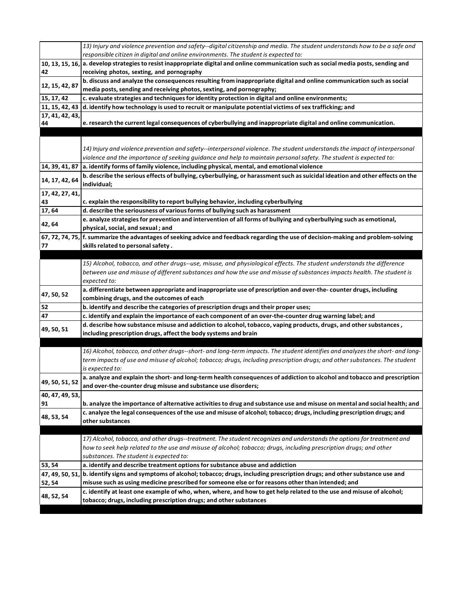|                 | 13) Injury and violence prevention and safety--digital citizenship and media. The student understands how to be a safe and<br>responsible citizen in digital and online environments. The student is expected to: |
|-----------------|-------------------------------------------------------------------------------------------------------------------------------------------------------------------------------------------------------------------|
| 42              | 10, 13, 15, 16, a. develop strategies to resist inappropriate digital and online communication such as social media posts, sending and<br>receiving photos, sexting, and pornography                              |
| 12, 15, 42, 87  | b. discuss and analyze the consequences resulting from inappropriate digital and online communication such as social<br>media posts, sending and receiving photos, sexting, and pornography;                      |
| 15, 17, 42      | c. evaluate strategies and techniques for identity protection in digital and online environments;                                                                                                                 |
| 11, 15, 42, 43  | d. identify how technology is used to recruit or manipulate potential victims of sex trafficking; and                                                                                                             |
| 17, 41, 42, 43, |                                                                                                                                                                                                                   |
| 44              | e. research the current legal consequences of cyberbullying and inappropriate digital and online communication.                                                                                                   |
|                 |                                                                                                                                                                                                                   |
|                 |                                                                                                                                                                                                                   |
|                 | 14) Injury and violence prevention and safety--interpersonal violence. The student understands the impact of interpersonal                                                                                        |
|                 | violence and the importance of seeking guidance and help to maintain personal safety. The student is expected to:                                                                                                 |
| 14, 39, 41, 87  | a. identify forms of family violence, including physical, mental, and emotional violence                                                                                                                          |
| 14, 17, 42, 64  | b. describe the serious effects of bullying, cyberbullying, or harassment such as suicidal ideation and other effects on the                                                                                      |
|                 | individual;                                                                                                                                                                                                       |
| 17, 42, 27, 41, |                                                                                                                                                                                                                   |
| 43<br>17,64     | c. explain the responsibility to report bullying behavior, including cyberbullying<br>d. describe the seriousness of various forms of bullying such as harassment                                                 |
|                 | e. analyze strategies for prevention and intervention of all forms of bullying and cyberbullying such as emotional,                                                                                               |
| 42, 64          | physical, social, and sexual; and                                                                                                                                                                                 |
|                 | 67, 72, 74, 75, f. summarize the advantages of seeking advice and feedback regarding the use of decision-making and problem-solving                                                                               |
| 77              | skills related to personal safety.                                                                                                                                                                                |
|                 |                                                                                                                                                                                                                   |
|                 | 15) Alcohol, tobacco, and other drugs--use, misuse, and physiological effects. The student understands the difference                                                                                             |
|                 | between use and misuse of different substances and how the use and misuse of substances impacts health. The student is                                                                                            |
|                 | expected to:                                                                                                                                                                                                      |
|                 | a. differentiate between appropriate and inappropriate use of prescription and over-the- counter drugs, including                                                                                                 |
| 47, 50, 52      | combining drugs, and the outcomes of each                                                                                                                                                                         |
| 52              | b. identify and describe the categories of prescription drugs and their proper uses;                                                                                                                              |
| 47              | c. identify and explain the importance of each component of an over-the-counter drug warning label; and                                                                                                           |
|                 | d. describe how substance misuse and addiction to alcohol, tobacco, vaping products, drugs, and other substances,                                                                                                 |
| 49, 50, 51      | including prescription drugs, affect the body systems and brain                                                                                                                                                   |
|                 |                                                                                                                                                                                                                   |
|                 | 16) Alcohol, tobacco, and other drugs--short- and long-term impacts. The student identifies and analyzes the short- and long-                                                                                     |
|                 | term impacts of use and misuse of alcohol; tobacco; drugs, including prescription drugs; and other substances. The student                                                                                        |
|                 | is expected to:                                                                                                                                                                                                   |
| 49, 50, 51, 52  | a. analyze and explain the short- and long-term health consequences of addiction to alcohol and tobacco and prescription                                                                                          |
|                 | and over-the-counter drug misuse and substance use disorders;                                                                                                                                                     |
| 40, 47, 49, 53, |                                                                                                                                                                                                                   |
| 91              | b. analyze the importance of alternative activities to drug and substance use and misuse on mental and social health; and                                                                                         |
| 48, 53, 54      | c. analyze the legal consequences of the use and misuse of alcohol; tobacco; drugs, including prescription drugs; and                                                                                             |
|                 | other substances                                                                                                                                                                                                  |
|                 | 17) Alcohol, tobacco, and other drugs--treatment. The student recognizes and understands the options for treatment and                                                                                            |
|                 | how to seek help related to the use and misuse of alcohol; tobacco; drugs, including prescription drugs; and other                                                                                                |
|                 | substances. The student is expected to:                                                                                                                                                                           |
| 53, 54          | a. identify and describe treatment options for substance abuse and addiction                                                                                                                                      |
| 47, 49, 50, 51, | b. identify signs and symptoms of alcohol; tobacco; drugs, including prescription drugs; and other substance use and                                                                                              |
| 52, 54          | misuse such as using medicine prescribed for someone else or for reasons other than intended; and                                                                                                                 |
|                 | c. identify at least one example of who, when, where, and how to get help related to the use and misuse of alcohol;                                                                                               |
| 48, 52, 54      | tobacco; drugs, including prescription drugs; and other substances                                                                                                                                                |
|                 |                                                                                                                                                                                                                   |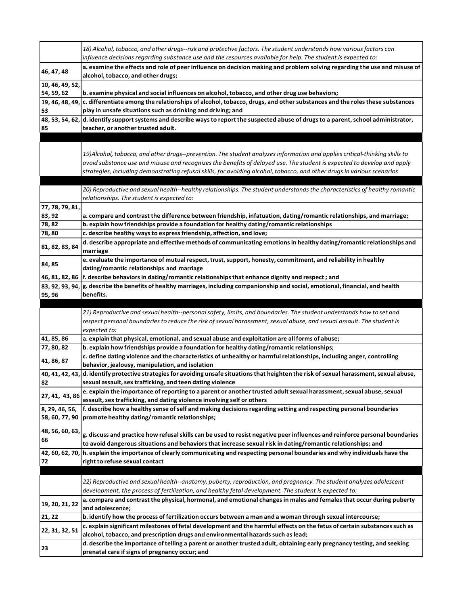|                 | 18) Alcohol, tobacco, and other drugs--risk and protective factors. The student understands how various factors can                                                       |
|-----------------|---------------------------------------------------------------------------------------------------------------------------------------------------------------------------|
|                 | influence decisions regarding substance use and the resources available for help. The student is expected to:                                                             |
| 46, 47, 48      | a. examine the effects and role of peer influence on decision making and problem solving regarding the use and misuse of<br>alcohol, tobacco, and other drugs;            |
| 10, 46, 49, 52, |                                                                                                                                                                           |
| 54, 59, 62      | b. examine physical and social influences on alcohol, tobacco, and other drug use behaviors;                                                                              |
| 19, 46, 48, 49, | c. differentiate among the relationships of alcohol, tobacco, drugs, and other substances and the roles these substances                                                  |
| 53              | play in unsafe situations such as drinking and driving; and                                                                                                               |
| 48, 53, 54, 62, | d. identify support systems and describe ways to report the suspected abuse of drugs to a parent, school administrator,                                                   |
| 85              | teacher, or another trusted adult.                                                                                                                                        |
|                 |                                                                                                                                                                           |
|                 |                                                                                                                                                                           |
|                 | 19)Alcohol, tobacco, and other drugs--prevention. The student analyzes information and applies critical-thinking skills to                                                |
|                 | avoid substance use and misuse and recognizes the benefits of delayed use. The student is expected to develop and apply                                                   |
|                 | strategies, including demonstrating refusal skills, for avoiding alcohol, tobacco, and other drugs in various scenarios                                                   |
|                 |                                                                                                                                                                           |
|                 | 20) Reproductive and sexual health--healthy relationships. The student understands the characteristics of healthy romantic                                                |
|                 | relationships. The student is expected to:                                                                                                                                |
| 77, 78, 79, 81, |                                                                                                                                                                           |
| 83, 92          | a. compare and contrast the difference between friendship, infatuation, dating/romantic relationships, and marriage;                                                      |
| 78,82<br>78,80  | b. explain how friendships provide a foundation for healthy dating/romantic relationships<br>c. describe healthy ways to express friendship, affection, and love;         |
|                 | d. describe appropriate and effective methods of communicating emotions in healthy dating/romantic relationships and                                                      |
| 81, 82, 83, 84  | marriage                                                                                                                                                                  |
|                 | e. evaluate the importance of mutual respect, trust, support, honesty, commitment, and reliability in healthy                                                             |
| 84, 85          | dating/romantic relationships and marriage                                                                                                                                |
|                 | 46, 81, 82, 86 f. describe behaviors in dating/romantic relationships that enhance dignity and respect; and                                                               |
| 83, 92, 93, 94, | g. describe the benefits of healthy marriages, including companionship and social, emotional, financial, and health                                                       |
| 95, 96          | benefits.                                                                                                                                                                 |
|                 |                                                                                                                                                                           |
|                 | 21) Reproductive and sexual health--personal safety, limits, and boundaries. The student understands how to set and                                                       |
|                 | respect personal boundaries to reduce the risk of sexual harassment, sexual abuse, and sexual assault. The student is                                                     |
|                 | expected to:                                                                                                                                                              |
| 41, 85, 86      | a. explain that physical, emotional, and sexual abuse and exploitation are all forms of abuse;                                                                            |
| 77, 80, 82      | b. explain how friendships provide a foundation for healthy dating/romantic relationships;                                                                                |
| 41, 86, 87      | c. define dating violence and the characteristics of unhealthy or harmful relationships, including anger, controlling                                                     |
|                 | behavior, jealousy, manipulation, and isolation                                                                                                                           |
| 40, 41, 42, 43, |                                                                                                                                                                           |
|                 | d. identify protective strategies for avoiding unsafe situations that heighten the risk of sexual harassment, sexual abuse,                                               |
| 82              | sexual assault, sex trafficking, and teen dating violence                                                                                                                 |
|                 | e. explain the importance of reporting to a parent or another trusted adult sexual harassment, sexual abuse, sexual                                                       |
| 27, 41, 43, 86  | assault, sex trafficking, and dating violence involving self or others                                                                                                    |
| 8, 29, 46, 56,  | f. describe how a healthy sense of self and making decisions regarding setting and respecting personal boundaries                                                         |
| 58, 60, 77, 90  | promote healthy dating/romantic relationships;                                                                                                                            |
| 48, 56, 60, 63, |                                                                                                                                                                           |
| 66              | g. discuss and practice how refusal skills can be used to resist negative peer influences and reinforce personal boundaries                                               |
|                 | to avoid dangerous situations and behaviors that increase sexual risk in dating/romantic relationships; and                                                               |
| 42, 60, 62, 70, | h. explain the importance of clearly communicating and respecting personal boundaries and why individuals have the                                                        |
| 72              | right to refuse sexual contact                                                                                                                                            |
|                 |                                                                                                                                                                           |
|                 | 22) Reproductive and sexual health--anatomy, puberty, reproduction, and pregnancy. The student analyzes adolescent                                                        |
|                 | development, the process of fertilization, and healthy fetal development. The student is expected to:                                                                     |
| 19, 20, 21, 22  | a. compare and contrast the physical, hormonal, and emotional changes in males and females that occur during puberty                                                      |
|                 | and adolescence;                                                                                                                                                          |
| 21, 22          | b. identify how the process of fertilization occurs between a man and a woman through sexual intercourse;                                                                 |
| 22, 31, 32, 51  | c. explain significant milestones of fetal development and the harmful effects on the fetus of certain substances such as                                                 |
|                 | alcohol, tobacco, and prescription drugs and environmental hazards such as lead;                                                                                          |
| 23              | d. describe the importance of telling a parent or another trusted adult, obtaining early pregnancy testing, and seeking<br>prenatal care if signs of pregnancy occur; and |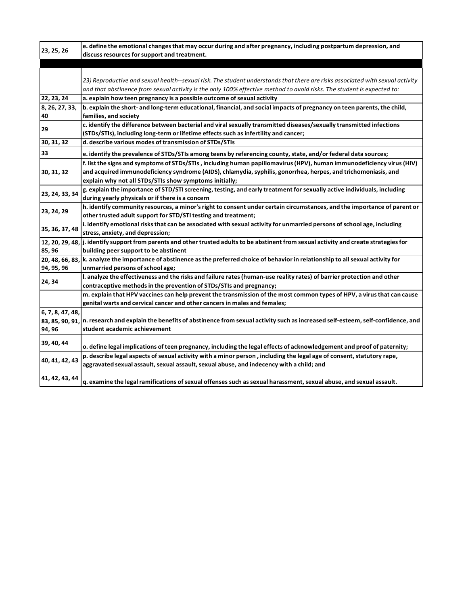|                  | e. define the emotional changes that may occur during and after pregnancy, including postpartum depression, and                             |
|------------------|---------------------------------------------------------------------------------------------------------------------------------------------|
| 23, 25, 26       | discuss resources for support and treatment.                                                                                                |
|                  |                                                                                                                                             |
|                  |                                                                                                                                             |
|                  | 23) Reproductive and sexual health--sexual risk. The student understands that there are risks associated with sexual activity               |
|                  | and that abstinence from sexual activity is the only 100% effective method to avoid risks. The student is expected to:                      |
| 22, 23, 24       | a. explain how teen pregnancy is a possible outcome of sexual activity                                                                      |
| 8, 26, 27, 33,   | b. explain the short- and long-term educational, financial, and social impacts of pregnancy on teen parents, the child,                     |
| 40               | families, and society                                                                                                                       |
|                  | c. identify the difference between bacterial and viral sexually transmitted diseases/sexually transmitted infections                        |
| 29               | (STDs/STIs), including long-term or lifetime effects such as infertility and cancer;                                                        |
| 30, 31, 32       | d. describe various modes of transmission of STDs/STIs                                                                                      |
| 33               | e. identify the prevalence of STDs/STIs among teens by referencing county, state, and/or federal data sources;                              |
|                  | f. list the signs and symptoms of STDs/STIs, including human papillomavirus (HPV), human immunodeficiency virus (HIV)                       |
| 30, 31, 32       | and acquired immunodeficiency syndrome (AIDS), chlamydia, syphilis, gonorrhea, herpes, and trichomoniasis, and                              |
|                  | explain why not all STDs/STIs show symptoms initially;                                                                                      |
|                  | g. explain the importance of STD/STI screening, testing, and early treatment for sexually active individuals, including                     |
| 23, 24, 33, 34   | during yearly physicals or if there is a concern                                                                                            |
| 23, 24, 29       | h. identify community resources, a minor's right to consent under certain circumstances, and the importance of parent or                    |
|                  | other trusted adult support for STD/STI testing and treatment;                                                                              |
| 35, 36, 37, 48   | i. identify emotional risks that can be associated with sexual activity for unmarried persons of school age, including                      |
|                  | stress, anxiety, and depression;                                                                                                            |
|                  | 12, 20, 29, 48, j. identify support from parents and other trusted adults to be abstinent from sexual activity and create strategies for    |
| 85, 96           | building peer support to be abstinent                                                                                                       |
| 20, 48, 66, 83,  | k. analyze the importance of abstinence as the preferred choice of behavior in relationship to all sexual activity for                      |
| 94, 95, 96       | unmarried persons of school age;                                                                                                            |
| 24, 34           | I. analyze the effectiveness and the risks and failure rates (human-use reality rates) of barrier protection and other                      |
|                  | contraceptive methods in the prevention of STDs/STIs and pregnancy;                                                                         |
|                  | m. explain that HPV vaccines can help prevent the transmission of the most common types of HPV, a virus that can cause                      |
|                  | genital warts and cervical cancer and other cancers in males and females;                                                                   |
| 6, 7, 8, 47, 48, |                                                                                                                                             |
|                  | 83, 85, 90, 91, n. research and explain the benefits of abstinence from sexual activity such as increased self-esteem, self-confidence, and |
| 94, 96           | student academic achievement                                                                                                                |
| 39, 40, 44       |                                                                                                                                             |
|                  | o. define legal implications of teen pregnancy, including the legal effects of acknowledgement and proof of paternity;                      |
| 40, 41, 42, 43   | p. describe legal aspects of sexual activity with a minor person, including the legal age of consent, statutory rape,                       |
|                  | aggravated sexual assault, sexual assault, sexual abuse, and indecency with a child; and                                                    |
| 41, 42, 43, 44   | q. examine the legal ramifications of sexual offenses such as sexual harassment, sexual abuse, and sexual assault.                          |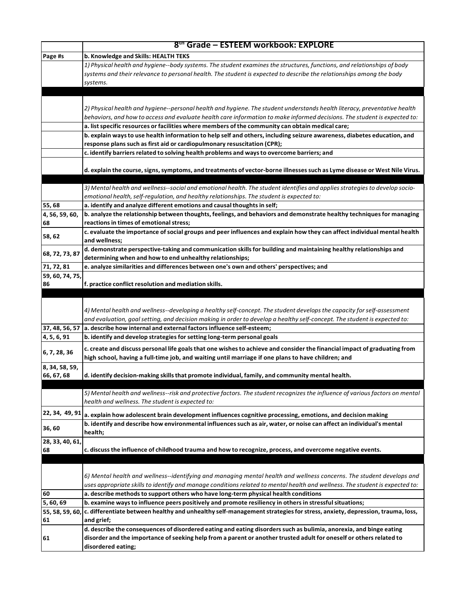|                       | 8th Grade - ESTEEM workbook: EXPLORE                                                                                                                                                                                                      |
|-----------------------|-------------------------------------------------------------------------------------------------------------------------------------------------------------------------------------------------------------------------------------------|
| Page #s               | b. Knowledge and Skills: HEALTH TEKS                                                                                                                                                                                                      |
|                       | 1) Physical health and hygiene--body systems. The student examines the structures, functions, and relationships of body                                                                                                                   |
|                       | systems and their relevance to personal health. The student is expected to describe the relationships among the body                                                                                                                      |
|                       | systems.                                                                                                                                                                                                                                  |
|                       |                                                                                                                                                                                                                                           |
|                       |                                                                                                                                                                                                                                           |
|                       | 2) Physical health and hygiene--personal health and hygiene. The student understands health literacy, preventative health                                                                                                                 |
|                       | behaviors, and how to access and evaluate health care information to make informed decisions. The student is expected to:                                                                                                                 |
|                       | a. list specific resources or facilities where members of the community can obtain medical care;                                                                                                                                          |
|                       | b. explain ways to use health information to help self and others, including seizure awareness, diabetes education, and                                                                                                                   |
|                       | response plans such as first aid or cardiopulmonary resuscitation (CPR);                                                                                                                                                                  |
|                       | c. identify barriers related to solving health problems and ways to overcome barriers; and                                                                                                                                                |
|                       |                                                                                                                                                                                                                                           |
|                       | d. explain the course, signs, symptoms, and treatments of vector-borne illnesses such as Lyme disease or West Nile Virus.                                                                                                                 |
|                       |                                                                                                                                                                                                                                           |
|                       | 3) Mental health and wellness--social and emotional health. The student identifies and applies strategies to develop socio-                                                                                                               |
|                       | emotional health, self-regulation, and healthy relationships. The student is expected to:                                                                                                                                                 |
| 55,68                 | a. identify and analyze different emotions and causal thoughts in self;                                                                                                                                                                   |
| 4, 56, 59, 60,<br>68  | b. analyze the relationship between thoughts, feelings, and behaviors and demonstrate healthy techniques for managing<br>reactions in times of emotional stress;                                                                          |
|                       | c. evaluate the importance of social groups and peer influences and explain how they can affect individual mental health                                                                                                                  |
| 58,62                 | and wellness;                                                                                                                                                                                                                             |
|                       | d. demonstrate perspective-taking and communication skills for building and maintaining healthy relationships and                                                                                                                         |
| 68, 72, 73, 87        | determining when and how to end unhealthy relationships;                                                                                                                                                                                  |
| 71, 72, 81            | e. analyze similarities and differences between one's own and others' perspectives; and                                                                                                                                                   |
| 59, 60, 74, 75,       |                                                                                                                                                                                                                                           |
| 86                    | f. practice conflict resolution and mediation skills.                                                                                                                                                                                     |
|                       |                                                                                                                                                                                                                                           |
|                       |                                                                                                                                                                                                                                           |
|                       |                                                                                                                                                                                                                                           |
|                       | 4) Mental health and wellness--developing a healthy self-concept. The student develops the capacity for self-assessment                                                                                                                   |
|                       | and evaluation, goal setting, and decision making in order to develop a healthy self-concept. The student is expected to:                                                                                                                 |
| 37, 48, 56, 57        | a. describe how internal and external factors influence self-esteem;                                                                                                                                                                      |
|                       | b. identify and develop strategies for setting long-term personal goals                                                                                                                                                                   |
| 4, 5, 6, 91           |                                                                                                                                                                                                                                           |
| 6, 7, 28, 36          | c. create and discuss personal life goals that one wishes to achieve and consider the financial impact of graduating from                                                                                                                 |
|                       | high school, having a full-time job, and waiting until marriage if one plans to have children; and                                                                                                                                        |
| 8, 34, 58, 59,        |                                                                                                                                                                                                                                           |
| 66, 67, 68            | d. identify decision-making skills that promote individual, family, and community mental health.                                                                                                                                          |
|                       |                                                                                                                                                                                                                                           |
|                       | 5) Mental health and wellness--risk and protective factors. The student recognizes the influence of various factors on mental<br>health and wellness. The student is expected to:                                                         |
|                       |                                                                                                                                                                                                                                           |
| 22, 34, 49, 91        | a. explain how adolescent brain development influences cognitive processing, emotions, and decision making                                                                                                                                |
| 36,60                 | b. identify and describe how environmental influences such as air, water, or noise can affect an individual's mental                                                                                                                      |
|                       | health;                                                                                                                                                                                                                                   |
| 28, 33, 40, 61,       |                                                                                                                                                                                                                                           |
| 68                    | c. discuss the influence of childhood trauma and how to recognize, process, and overcome negative events.                                                                                                                                 |
|                       |                                                                                                                                                                                                                                           |
|                       |                                                                                                                                                                                                                                           |
|                       | 6) Mental health and wellness--identifying and managing mental health and wellness concerns. The student develops and                                                                                                                     |
|                       | uses appropriate skills to identify and manage conditions related to mental health and wellness. The student is expected to:                                                                                                              |
| 60                    | a. describe methods to support others who have long-term physical health conditions                                                                                                                                                       |
| 5, 60, 69             | b. examine ways to influence peers positively and promote resiliency in others in stressful situations;                                                                                                                                   |
| 55, 58, 59, 60,<br>61 | c. differentiate between healthy and unhealthy self-management strategies for stress, anxiety, depression, trauma, loss,<br>and grief;                                                                                                    |
|                       |                                                                                                                                                                                                                                           |
| 61                    | d. describe the consequences of disordered eating and eating disorders such as bulimia, anorexia, and binge eating<br>disorder and the importance of seeking help from a parent or another trusted adult for oneself or others related to |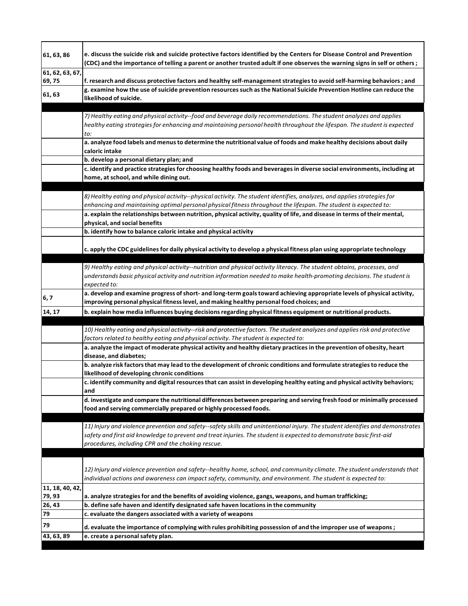| 61, 63, 86      | e. discuss the suicide risk and suicide protective factors identified by the Centers for Disease Control and Prevention<br>(CDC) and the importance of telling a parent or another trusted adult if one observes the warning signs in self or others; |
|-----------------|-------------------------------------------------------------------------------------------------------------------------------------------------------------------------------------------------------------------------------------------------------|
| 61, 62, 63, 67, |                                                                                                                                                                                                                                                       |
| 69,75           | f. research and discuss protective factors and healthy self-management strategies to avoid self-harming behaviors; and                                                                                                                                |
| 61, 63          | g. examine how the use of suicide prevention resources such as the National Suicide Prevention Hotline can reduce the<br>likelihood of suicide.                                                                                                       |
|                 |                                                                                                                                                                                                                                                       |
|                 | 7) Healthy eating and physical activity--food and beverage daily recommendations. The student analyzes and applies                                                                                                                                    |
|                 | healthy eating strategies for enhancing and maintaining personal health throughout the lifespan. The student is expected                                                                                                                              |
|                 | to:                                                                                                                                                                                                                                                   |
|                 | a. analyze food labels and menus to determine the nutritional value of foods and make healthy decisions about daily                                                                                                                                   |
|                 | caloric intake<br>b. develop a personal dietary plan; and                                                                                                                                                                                             |
|                 | c. identify and practice strategies for choosing healthy foods and beverages in diverse social environments, including at                                                                                                                             |
|                 | home, at school, and while dining out.                                                                                                                                                                                                                |
|                 |                                                                                                                                                                                                                                                       |
|                 | 8) Healthy eating and physical activity--physical activity. The student identifies, analyzes, and applies strategies for                                                                                                                              |
|                 | enhancing and maintaining optimal personal physical fitness throughout the lifespan. The student is expected to:                                                                                                                                      |
|                 | a. explain the relationships between nutrition, physical activity, quality of life, and disease in terms of their mental,                                                                                                                             |
|                 | physical, and social benefits                                                                                                                                                                                                                         |
|                 | b. identify how to balance caloric intake and physical activity                                                                                                                                                                                       |
|                 | c. apply the CDC guidelines for daily physical activity to develop a physical fitness plan using appropriate technology                                                                                                                               |
|                 |                                                                                                                                                                                                                                                       |
|                 | 9) Healthy eating and physical activity--nutrition and physical activity literacy. The student obtains, processes, and                                                                                                                                |
|                 | understands basic physical activity and nutrition information needed to make health-promoting decisions. The student is<br>expected to:                                                                                                               |
|                 | a. develop and examine progress of short- and long-term goals toward achieving appropriate levels of physical activity,                                                                                                                               |
| 6, 7            | improving personal physical fitness level, and making healthy personal food choices; and                                                                                                                                                              |
| 14, 17          | b. explain how media influences buying decisions regarding physical fitness equipment or nutritional products.                                                                                                                                        |
|                 |                                                                                                                                                                                                                                                       |
|                 | 10) Healthy eating and physical activity--risk and protective factors. The student analyzes and applies risk and protective                                                                                                                           |
|                 | factors related to healthy eating and physical activity. The student is expected to:                                                                                                                                                                  |
|                 | a. analyze the impact of moderate physical activity and healthy dietary practices in the prevention of obesity, heart                                                                                                                                 |
|                 | disease, and diabetes;                                                                                                                                                                                                                                |
|                 | b. analyze risk factors that may lead to the development of chronic conditions and formulate strategies to reduce the<br>likelihood of developing chronic conditions                                                                                  |
|                 | c. identify community and digital resources that can assist in developing healthy eating and physical activity behaviors;                                                                                                                             |
|                 | and                                                                                                                                                                                                                                                   |
|                 | d. investigate and compare the nutritional differences between preparing and serving fresh food or minimally processed                                                                                                                                |
|                 | food and serving commercially prepared or highly processed foods.                                                                                                                                                                                     |
|                 |                                                                                                                                                                                                                                                       |
|                 | 11) Injury and violence prevention and safety--safety skills and unintentional injury. The student identifies and demonstrates                                                                                                                        |
|                 | safety and first aid knowledge to prevent and treat injuries. The student is expected to demonstrate basic first-aid<br>procedures, including CPR and the choking rescue.                                                                             |
|                 |                                                                                                                                                                                                                                                       |
|                 |                                                                                                                                                                                                                                                       |
|                 | 12) Injury and violence prevention and safety--healthy home, school, and community climate. The student understands that                                                                                                                              |
|                 | individual actions and awareness can impact safety, community, and environment. The student is expected to:                                                                                                                                           |
| 11, 18, 40, 42, |                                                                                                                                                                                                                                                       |
| 79,93           | a. analyze strategies for and the benefits of avoiding violence, gangs, weapons, and human trafficking;                                                                                                                                               |
| 26, 43          | b. define safe haven and identify designated safe haven locations in the community                                                                                                                                                                    |
| 79              | c. evaluate the dangers associated with a variety of weapons                                                                                                                                                                                          |
| 79              | d. evaluate the importance of complying with rules prohibiting possession of and the improper use of weapons;                                                                                                                                         |
| 43, 63, 89      | e. create a personal safety plan.                                                                                                                                                                                                                     |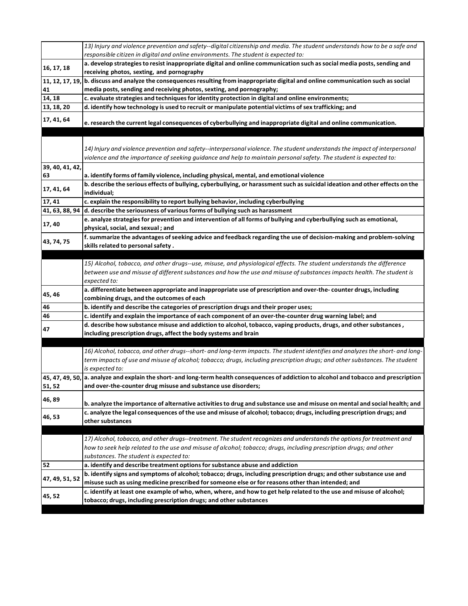|                 | 13) Injury and violence prevention and safety--digital citizenship and media. The student understands how to be a safe and<br>responsible citizen in digital and online environments. The student is expected to: |
|-----------------|-------------------------------------------------------------------------------------------------------------------------------------------------------------------------------------------------------------------|
| 16, 17, 18      | a. develop strategies to resist inappropriate digital and online communication such as social media posts, sending and<br>receiving photos, sexting, and pornography                                              |
|                 | 11, 12, 17, 19, b. discuss and analyze the consequences resulting from inappropriate digital and online communication such as social                                                                              |
| 41              | media posts, sending and receiving photos, sexting, and pornography;                                                                                                                                              |
| 14, 18          | c. evaluate strategies and techniques for identity protection in digital and online environments;                                                                                                                 |
| 13, 18, 20      | d. identify how technology is used to recruit or manipulate potential victims of sex trafficking; and                                                                                                             |
| 17, 41, 64      | e. research the current legal consequences of cyberbullying and inappropriate digital and online communication.                                                                                                   |
|                 |                                                                                                                                                                                                                   |
|                 |                                                                                                                                                                                                                   |
|                 | 14) Injury and violence prevention and safety--interpersonal violence. The student understands the impact of interpersonal                                                                                        |
|                 | violence and the importance of seeking guidance and help to maintain personal safety. The student is expected to:                                                                                                 |
| 39, 40, 41, 42, |                                                                                                                                                                                                                   |
| 63              | a. identify forms of family violence, including physical, mental, and emotional violence                                                                                                                          |
|                 | b. describe the serious effects of bullying, cyberbullying, or harassment such as suicidal ideation and other effects on the                                                                                      |
| 17, 41, 64      | individual;                                                                                                                                                                                                       |
| 17, 41          | c. explain the responsibility to report bullying behavior, including cyberbullying                                                                                                                                |
| 41, 63, 88, 94  | d. describe the seriousness of various forms of bullying such as harassment                                                                                                                                       |
|                 | e. analyze strategies for prevention and intervention of all forms of bullying and cyberbullying such as emotional,                                                                                               |
| 17,40           | physical, social, and sexual; and                                                                                                                                                                                 |
|                 | f. summarize the advantages of seeking advice and feedback regarding the use of decision-making and problem-solving                                                                                               |
| 43, 74, 75      | skills related to personal safety.                                                                                                                                                                                |
|                 |                                                                                                                                                                                                                   |
|                 | 15) Alcohol, tobacco, and other drugs--use, misuse, and physiological effects. The student understands the difference                                                                                             |
|                 | between use and misuse of different substances and how the use and misuse of substances impacts health. The student is                                                                                            |
|                 | expected to:                                                                                                                                                                                                      |
|                 | a. differentiate between appropriate and inappropriate use of prescription and over-the- counter drugs, including                                                                                                 |
| 45, 46          | combining drugs, and the outcomes of each                                                                                                                                                                         |
| 46              | b. identify and describe the categories of prescription drugs and their proper uses;                                                                                                                              |
| 46              | c. identify and explain the importance of each component of an over-the-counter drug warning label; and                                                                                                           |
|                 | d. describe how substance misuse and addiction to alcohol, tobacco, vaping products, drugs, and other substances,                                                                                                 |
| 47              | including prescription drugs, affect the body systems and brain                                                                                                                                                   |
|                 |                                                                                                                                                                                                                   |
|                 | 16) Alcohol, tobacco, and other drugs--short- and long-term impacts. The student identifies and analyzes the short- and long-                                                                                     |
|                 | term impacts of use and misuse of alcohol; tobacco; drugs, including prescription drugs; and other substances. The student                                                                                        |
|                 | is expected to:                                                                                                                                                                                                   |
|                 | 45, 47, 49, 50, a. analyze and explain the short- and long-term health consequences of addiction to alcohol and tobacco and prescription                                                                          |
| 51, 52          | and over-the-counter drug misuse and substance use disorders;                                                                                                                                                     |
|                 |                                                                                                                                                                                                                   |
| 46,89           | b. analyze the importance of alternative activities to drug and substance use and misuse on mental and social health; and                                                                                         |
|                 | c. analyze the legal consequences of the use and misuse of alcohol; tobacco; drugs, including prescription drugs; and                                                                                             |
| 46, 53          | other substances                                                                                                                                                                                                  |
|                 |                                                                                                                                                                                                                   |
|                 | 17) Alcohol, tobacco, and other drugs--treatment. The student recognizes and understands the options for treatment and                                                                                            |
|                 | how to seek help related to the use and misuse of alcohol; tobacco; drugs, including prescription drugs; and other                                                                                                |
|                 | substances. The student is expected to:                                                                                                                                                                           |
| 52              | a. identify and describe treatment options for substance abuse and addiction                                                                                                                                      |
|                 | b. identify signs and symptoms of alcohol; tobacco; drugs, including prescription drugs; and other substance use and                                                                                              |
| 47, 49, 51, 52  | misuse such as using medicine prescribed for someone else or for reasons other than intended; and                                                                                                                 |
|                 | c. identify at least one example of who, when, where, and how to get help related to the use and misuse of alcohol;                                                                                               |
| 45, 52          | tobacco; drugs, including prescription drugs; and other substances                                                                                                                                                |
|                 |                                                                                                                                                                                                                   |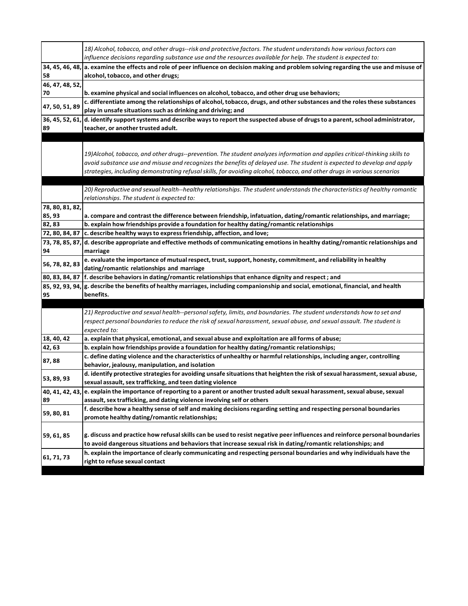|                 | 18) Alcohol, tobacco, and other drugs--risk and protective factors. The student understands how various factors can<br>influence decisions regarding substance use and the resources available for help. The student is expected to: |
|-----------------|--------------------------------------------------------------------------------------------------------------------------------------------------------------------------------------------------------------------------------------|
|                 | 34, 45, 46, 48, a. examine the effects and role of peer influence on decision making and problem solving regarding the use and misuse of                                                                                             |
| 58              | alcohol, tobacco, and other drugs;                                                                                                                                                                                                   |
| 46, 47, 48, 52, |                                                                                                                                                                                                                                      |
| 70              | b. examine physical and social influences on alcohol, tobacco, and other drug use behaviors;                                                                                                                                         |
|                 | c. differentiate among the relationships of alcohol, tobacco, drugs, and other substances and the roles these substances                                                                                                             |
| 47, 50, 51, 89  | play in unsafe situations such as drinking and driving; and                                                                                                                                                                          |
|                 | 36, 45, 52, 61, d. identify support systems and describe ways to report the suspected abuse of drugs to a parent, school administrator,                                                                                              |
| 89              | teacher, or another trusted adult.                                                                                                                                                                                                   |
|                 |                                                                                                                                                                                                                                      |
|                 |                                                                                                                                                                                                                                      |
|                 | 19)Alcohol, tobacco, and other drugs--prevention. The student analyzes information and applies critical-thinking skills to                                                                                                           |
|                 | avoid substance use and misuse and recognizes the benefits of delayed use. The student is expected to develop and apply                                                                                                              |
|                 | strategies, including demonstrating refusal skills, for avoiding alcohol, tobacco, and other drugs in various scenarios                                                                                                              |
|                 |                                                                                                                                                                                                                                      |
|                 | 20) Reproductive and sexual health--healthy relationships. The student understands the characteristics of healthy romantic                                                                                                           |
|                 | relationships. The student is expected to:                                                                                                                                                                                           |
| 78, 80, 81, 82, |                                                                                                                                                                                                                                      |
| 85, 93          | a. compare and contrast the difference between friendship, infatuation, dating/romantic relationships, and marriage;                                                                                                                 |
| 82,83           | b. explain how friendships provide a foundation for healthy dating/romantic relationships                                                                                                                                            |
| 72, 80, 84, 87  | c. describe healthy ways to express friendship, affection, and love;                                                                                                                                                                 |
| 73, 78, 85, 87, | d. describe appropriate and effective methods of communicating emotions in healthy dating/romantic relationships and                                                                                                                 |
| 94              | marriage                                                                                                                                                                                                                             |
|                 | e. evaluate the importance of mutual respect, trust, support, honesty, commitment, and reliability in healthy                                                                                                                        |
| 56, 78, 82, 83  | dating/romantic relationships and marriage                                                                                                                                                                                           |
| 80, 83, 84, 87  | f. describe behaviors in dating/romantic relationships that enhance dignity and respect; and                                                                                                                                         |
| 85, 92, 93, 94, | g. describe the benefits of healthy marriages, including companionship and social, emotional, financial, and health                                                                                                                  |
| 95              | benefits.                                                                                                                                                                                                                            |
|                 |                                                                                                                                                                                                                                      |
|                 | 21) Reproductive and sexual health--personal safety, limits, and boundaries. The student understands how to set and                                                                                                                  |
|                 | respect personal boundaries to reduce the risk of sexual harassment, sexual abuse, and sexual assault. The student is                                                                                                                |
|                 | expected to:                                                                                                                                                                                                                         |
| 18, 40, 42      | a. explain that physical, emotional, and sexual abuse and exploitation are all forms of abuse;                                                                                                                                       |
| 42,63           | b. explain how friendships provide a foundation for healthy dating/romantic relationships;                                                                                                                                           |
| 87,88           | c. define dating violence and the characteristics of unhealthy or harmful relationships, including anger, controlling                                                                                                                |
|                 | behavior, jealousy, manipulation, and isolation                                                                                                                                                                                      |
| 53, 89, 93      | d. identify protective strategies for avoiding unsafe situations that heighten the risk of sexual harassment, sexual abuse,                                                                                                          |
|                 | sexual assault, sex trafficking, and teen dating violence                                                                                                                                                                            |
| 40, 41, 42, 43, | e. explain the importance of reporting to a parent or another trusted adult sexual harassment, sexual abuse, sexual                                                                                                                  |
| 89              | assault, sex trafficking, and dating violence involving self or others                                                                                                                                                               |
| 59, 80, 81      | f. describe how a healthy sense of self and making decisions regarding setting and respecting personal boundaries                                                                                                                    |
|                 | promote healthy dating/romantic relationships;                                                                                                                                                                                       |
|                 |                                                                                                                                                                                                                                      |
| 59, 61, 85      | g. discuss and practice how refusal skills can be used to resist negative peer influences and reinforce personal boundaries                                                                                                          |
|                 | to avoid dangerous situations and behaviors that increase sexual risk in dating/romantic relationships; and                                                                                                                          |
| 61, 71, 73      | h. explain the importance of clearly communicating and respecting personal boundaries and why individuals have the                                                                                                                   |
|                 | right to refuse sexual contact                                                                                                                                                                                                       |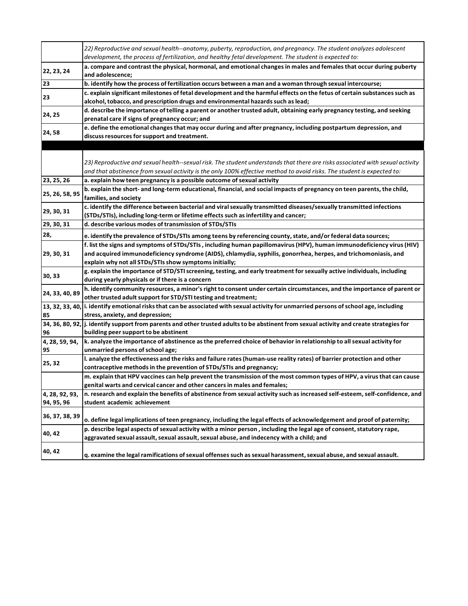|                 | 22) Reproductive and sexual health--anatomy, puberty, reproduction, and pregnancy. The student analyzes adolescent<br>development, the process of fertilization, and healthy fetal development. The student is expected to: |
|-----------------|-----------------------------------------------------------------------------------------------------------------------------------------------------------------------------------------------------------------------------|
| 22, 23, 24      | a. compare and contrast the physical, hormonal, and emotional changes in males and females that occur during puberty<br>and adolescence;                                                                                    |
| 23              | b. identify how the process of fertilization occurs between a man and a woman through sexual intercourse;                                                                                                                   |
| 23              | c. explain significant milestones of fetal development and the harmful effects on the fetus of certain substances such as                                                                                                   |
|                 | alcohol, tobacco, and prescription drugs and environmental hazards such as lead;                                                                                                                                            |
| 24, 25          | d. describe the importance of telling a parent or another trusted adult, obtaining early pregnancy testing, and seeking                                                                                                     |
|                 | prenatal care if signs of pregnancy occur; and                                                                                                                                                                              |
|                 | e. define the emotional changes that may occur during and after pregnancy, including postpartum depression, and                                                                                                             |
| 24,58           | discuss resources for support and treatment.                                                                                                                                                                                |
|                 |                                                                                                                                                                                                                             |
|                 |                                                                                                                                                                                                                             |
|                 | 23) Reproductive and sexual health--sexual risk. The student understands that there are risks associated with sexual activity                                                                                               |
|                 | and that abstinence from sexual activity is the only 100% effective method to avoid risks. The student is expected to:                                                                                                      |
| 23, 25, 26      | a. explain how teen pregnancy is a possible outcome of sexual activity                                                                                                                                                      |
|                 | b. explain the short- and long-term educational, financial, and social impacts of pregnancy on teen parents, the child,                                                                                                     |
| 25, 26, 58, 95  | families, and society                                                                                                                                                                                                       |
|                 | c. identify the difference between bacterial and viral sexually transmitted diseases/sexually transmitted infections                                                                                                        |
| 29, 30, 31      | (STDs/STIs), including long-term or lifetime effects such as infertility and cancer;                                                                                                                                        |
| 29, 30, 31      | d. describe various modes of transmission of STDs/STIs                                                                                                                                                                      |
| 28,             | e. identify the prevalence of STDs/STIs among teens by referencing county, state, and/or federal data sources;                                                                                                              |
|                 | f. list the signs and symptoms of STDs/STIs, including human papillomavirus (HPV), human immunodeficiency virus (HIV)                                                                                                       |
| 29, 30, 31      | and acquired immunodeficiency syndrome (AIDS), chlamydia, syphilis, gonorrhea, herpes, and trichomoniasis, and                                                                                                              |
|                 | explain why not all STDs/STIs show symptoms initially;                                                                                                                                                                      |
|                 | g. explain the importance of STD/STI screening, testing, and early treatment for sexually active individuals, including                                                                                                     |
| 30, 33          | during yearly physicals or if there is a concern                                                                                                                                                                            |
|                 | h. identify community resources, a minor's right to consent under certain circumstances, and the importance of parent or                                                                                                    |
| 24, 33, 40, 89  | other trusted adult support for STD/STI testing and treatment;                                                                                                                                                              |
| 13, 32, 33, 40, | i. identify emotional risks that can be associated with sexual activity for unmarried persons of school age, including                                                                                                      |
| 85              | stress, anxiety, and depression;                                                                                                                                                                                            |
| 34, 36, 80, 92, | j. identify support from parents and other trusted adults to be abstinent from sexual activity and create strategies for                                                                                                    |
| 96              | building peer support to be abstinent                                                                                                                                                                                       |
| 4, 28, 59, 94,  | k. analyze the importance of abstinence as the preferred choice of behavior in relationship to all sexual activity for                                                                                                      |
| 95              | unmarried persons of school age;                                                                                                                                                                                            |
| 25, 32          | I. analyze the effectiveness and the risks and failure rates (human-use reality rates) of barrier protection and other                                                                                                      |
|                 | contraceptive methods in the prevention of STDs/STIs and pregnancy;                                                                                                                                                         |
|                 | m. explain that HPV vaccines can help prevent the transmission of the most common types of HPV, a virus that can cause                                                                                                      |
|                 | genital warts and cervical cancer and other cancers in males and females;                                                                                                                                                   |
| 4, 28, 92, 93,  | n. research and explain the benefits of abstinence from sexual activity such as increased self-esteem, self-confidence, and                                                                                                 |
| 94, 95, 96      | student academic achievement                                                                                                                                                                                                |
| 36, 37, 38, 39  |                                                                                                                                                                                                                             |
|                 | o. define legal implications of teen pregnancy, including the legal effects of acknowledgement and proof of paternity;                                                                                                      |
| 40, 42          | p. describe legal aspects of sexual activity with a minor person, including the legal age of consent, statutory rape,                                                                                                       |
|                 | aggravated sexual assault, sexual assault, sexual abuse, and indecency with a child; and                                                                                                                                    |
| 40, 42          |                                                                                                                                                                                                                             |
|                 | q. examine the legal ramifications of sexual offenses such as sexual harassment, sexual abuse, and sexual assault.                                                                                                          |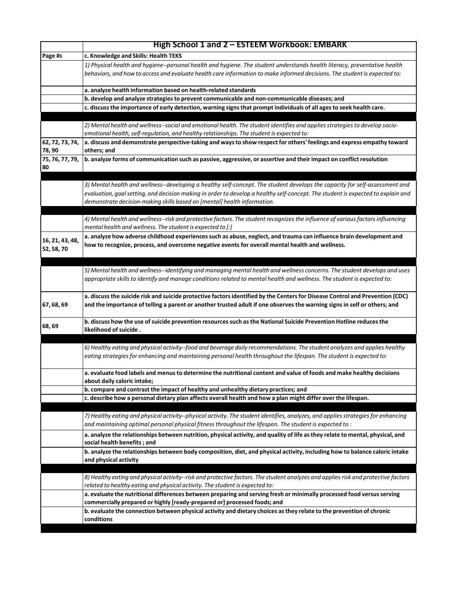|                               | High School 1 and 2 - ESTEEM Workbook: EMBARK                                                                                                                                                                                                             |
|-------------------------------|-----------------------------------------------------------------------------------------------------------------------------------------------------------------------------------------------------------------------------------------------------------|
| Page #s                       | c. Knowledge and Skills: Health TEKS                                                                                                                                                                                                                      |
|                               | 1) Physical health and hygiene--personal health and hygiene. The student understands health literacy, preventative health<br>behaviors, and how to access and evaluate health care information to make informed decisions. The student is expected to:    |
|                               | a. analyze health information based on health-related standards                                                                                                                                                                                           |
|                               | b. develop and analyze strategies to prevent communicable and non-communicable diseases; and                                                                                                                                                              |
|                               | c. discuss the importance of early detection, warning signs that prompt individuals of all ages to seek health care.                                                                                                                                      |
|                               |                                                                                                                                                                                                                                                           |
|                               | 2) Mental health and wellness--social and emotional health. The student identifies and applies strategies to develop socio-<br>emotional health, self-regulation, and healthy relationships. The student is expected to:                                  |
| 62, 72, 73, 74,<br>78,90      | a. discuss and demonstrate perspective-taking and ways to show respect for others' feelings and express empathy toward<br>others; and                                                                                                                     |
| 75, 76, 77, 79,<br>80         | b. analyze forms of communication such as passive, aggressive, or assertive and their impact on conflict resolution                                                                                                                                       |
|                               | 3) Mental health and wellness--developing a healthy self-concept. The student develops the capacity for self-assessment and                                                                                                                               |
|                               | evaluation, goal setting, and decision making in order to develop a healthy self-concept. The student is expected to explain and<br>demonstrate decision-making skills based on [mental] health information.                                              |
|                               | 4) Mental health and wellness--risk and protective factors. The student recognizes the influence of various factors influencing<br>mental health and wellness. The student is expected to [:]                                                             |
| 16, 21, 43, 48,<br>52, 58, 70 | a. analyze how adverse childhood experiences such as abuse, neglect, and trauma can influence brain development and<br>how to recognize, process, and overcome negative events for overall mental health and wellness.                                    |
|                               |                                                                                                                                                                                                                                                           |
|                               | 5) Mental health and wellness--identifying and managing mental health and wellness concerns. The student develops and uses<br>appropriate skills to identify and manage conditions related to mental health and wellness. The student is expected to:     |
| 67, 68, 69                    | a. discuss the suicide risk and suicide protective factors identified by the Centers for Disease Control and Prevention (CDC)<br>and the importance of telling a parent or another trusted adult if one observes the warning signs in self or others; and |
| 68, 69                        | b. discuss how the use of suicide prevention resources such as the National Suicide Prevention Hotline reduces the<br>likelihood of suicide.                                                                                                              |
|                               |                                                                                                                                                                                                                                                           |
|                               | 6) Healthy eating and physical activity--food and beverage daily recommendations. The student analyzes and applies healthy<br>eating strategies for enhancing and maintaining personal health throughout the lifespan. The student is expected to:        |
|                               | a. evaluate food labels and menus to determine the nutritional content and value of foods and make healthy decisions<br>about daily caloric intake;                                                                                                       |
|                               | b. compare and contrast the impact of healthy and unhealthy dietary practices; and                                                                                                                                                                        |
|                               | c. describe how a personal dietary plan affects overall health and how a plan might differ over the lifespan.                                                                                                                                             |
|                               | 7) Healthy eating and physical activity--physical activity. The student identifies, analyzes, and applies strategies for enhancing                                                                                                                        |
|                               | and maintaining optimal personal physical fitness throughout the lifespan. The student is expected to :                                                                                                                                                   |
|                               | a. analyze the relationships between nutrition, physical activity, and quality of life as they relate to mental, physical, and<br>social health benefits; and                                                                                             |
|                               | b. analyze the relationships between body composition, diet, and physical activity, including how to balance caloric intake<br>and physical activity                                                                                                      |
|                               | 8) Healthy eating and physical activity--risk and protective factors. The student analyzes and applies risk and protective factors<br>related to healthy eating and physical activity. The student is expected to:                                        |
|                               | a. evaluate the nutritional differences between preparing and serving fresh or minimally processed food versus serving<br>commercially prepared or highly [ready-prepared or] processed foods; and                                                        |
|                               | b. evaluate the connection between physical activity and dietary choices as they relate to the prevention of chronic<br>conditions                                                                                                                        |
|                               |                                                                                                                                                                                                                                                           |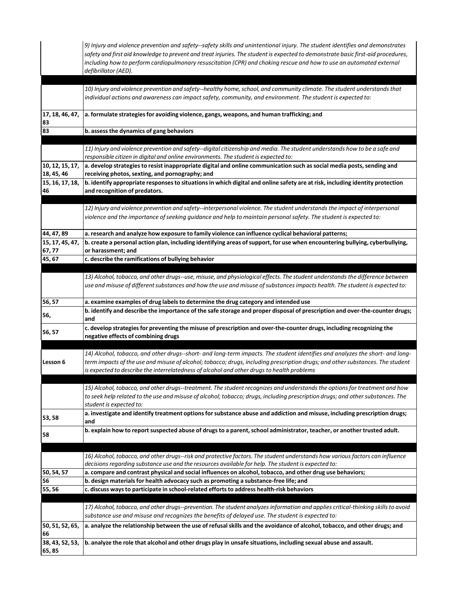|                               | 9) Injury and violence prevention and safety--safety skills and unintentional injury. The student identifies and demonstrates<br>safety and first aid knowledge to prevent and treat injuries. The student is expected to demonstrate basic first-aid procedures,<br>including how to perform cardiopulmonary resuscitation (CPR) and choking rescue and how to use an automated external<br>defibrillator (AED). |
|-------------------------------|-------------------------------------------------------------------------------------------------------------------------------------------------------------------------------------------------------------------------------------------------------------------------------------------------------------------------------------------------------------------------------------------------------------------|
|                               | 10) Injury and violence prevention and safety--healthy home, school, and community climate. The student understands that<br>individual actions and awareness can impact safety, community, and environment. The student is expected to:                                                                                                                                                                           |
| 17, 18, 46, 47,<br>83         | a. formulate strategies for avoiding violence, gangs, weapons, and human trafficking; and                                                                                                                                                                                                                                                                                                                         |
| 83                            | b. assess the dynamics of gang behaviors                                                                                                                                                                                                                                                                                                                                                                          |
|                               |                                                                                                                                                                                                                                                                                                                                                                                                                   |
|                               | 11) Injury and violence prevention and safety--digital citizenship and media. The student understands how to be a safe and                                                                                                                                                                                                                                                                                        |
|                               | responsible citizen in digital and online environments. The student is expected to:                                                                                                                                                                                                                                                                                                                               |
| 10, 12, 15, 17,<br>18, 45, 46 | a. develop strategies to resist inappropriate digital and online communication such as social media posts, sending and<br>receiving photos, sexting, and pornography; and                                                                                                                                                                                                                                         |
| 15, 16, 17, 18,               | b. identify appropriate responses to situations in which digital and online safety are at risk, including identity protection                                                                                                                                                                                                                                                                                     |
| 46                            | and recognition of predators.                                                                                                                                                                                                                                                                                                                                                                                     |
|                               | 12) Injury and violence prevention and safety--interpersonal violence. The student understands the impact of interpersonal                                                                                                                                                                                                                                                                                        |
|                               | violence and the importance of seeking quidance and help to maintain personal safety. The student is expected to:                                                                                                                                                                                                                                                                                                 |
| 44, 47, 89                    | a. research and analyze how exposure to family violence can influence cyclical behavioral patterns;                                                                                                                                                                                                                                                                                                               |
| 15, 17, 45, 47,               | b. create a personal action plan, including identifying areas of support, for use when encountering bullying, cyberbullying,                                                                                                                                                                                                                                                                                      |
| 67, 77<br>45, 67              | or harassment; and<br>c. describe the ramifications of bullying behavior                                                                                                                                                                                                                                                                                                                                          |
|                               |                                                                                                                                                                                                                                                                                                                                                                                                                   |
|                               | 13) Alcohol, tobacco, and other drugs--use, misuse, and physiological effects. The student understands the difference between<br>use and misuse of different substances and how the use and misuse of substances impacts health. The student is expected to:                                                                                                                                                      |
| 56, 57                        | a. examine examples of drug labels to determine the drug category and intended use                                                                                                                                                                                                                                                                                                                                |
| 56,                           | b. identify and describe the importance of the safe storage and proper disposal of prescription and over-the-counter drugs;<br>and                                                                                                                                                                                                                                                                                |
| 56, 57                        | c. develop strategies for preventing the misuse of prescription and over-the-counter drugs, including recognizing the<br>negative effects of combining drugs                                                                                                                                                                                                                                                      |
|                               | 14) Alcohol, tobacco, and other drugs--short- and long-term impacts. The student identifies and analyzes the short- and long-                                                                                                                                                                                                                                                                                     |
| Lesson 6                      | term impacts of the use and misuse of alcohol; tobacco; drugs, including prescription drugs; and other substances. The student<br>is expected to describe the interrelatedness of alcohol and other drugs to health problems                                                                                                                                                                                      |
|                               |                                                                                                                                                                                                                                                                                                                                                                                                                   |
|                               | 15) Alcohol, tobacco, and other drugs--treatment. The student recognizes and understands the options for treatment and how<br>to seek help related to the use and misuse of alcohol; tobacco; drugs, including prescription drugs; and other substances. The<br>student is expected to:                                                                                                                           |
| 53, 58                        | a. investigate and identify treatment options for substance abuse and addiction and misuse, including prescription drugs;<br>and                                                                                                                                                                                                                                                                                  |
| 58                            | b. explain how to report suspected abuse of drugs to a parent, school administrator, teacher, or another trusted adult.                                                                                                                                                                                                                                                                                           |
|                               | 16) Alcohol, tobacco, and other drugs--risk and protective factors. The student understands how various factors can influence                                                                                                                                                                                                                                                                                     |
|                               | decisions regarding substance use and the resources available for help. The student is expected to:                                                                                                                                                                                                                                                                                                               |
| 50, 54, 57                    | a. compare and contrast physical and social influences on alcohol, tobacco, and other drug use behaviors;                                                                                                                                                                                                                                                                                                         |
| 56                            | b. design materials for health advocacy such as promoting a substance-free life; and                                                                                                                                                                                                                                                                                                                              |
| 55, 56                        | c. discuss ways to participate in school-related efforts to address health-risk behaviors                                                                                                                                                                                                                                                                                                                         |
|                               |                                                                                                                                                                                                                                                                                                                                                                                                                   |
|                               | 17) Alcohol, tobacco, and other drugs--prevention. The student analyzes information and applies critical-thinking skills to avoid                                                                                                                                                                                                                                                                                 |
| 50, 51, 52, 65,               | substance use and misuse and recognizes the benefits of delayed use. The student is expected to:<br>a. analyze the relationship between the use of refusal skills and the avoidance of alcohol, tobacco, and other drugs; and                                                                                                                                                                                     |
| 66                            |                                                                                                                                                                                                                                                                                                                                                                                                                   |
| 38, 43, 52, 53,<br>65,85      | b. analyze the role that alcohol and other drugs play in unsafe situations, including sexual abuse and assault.                                                                                                                                                                                                                                                                                                   |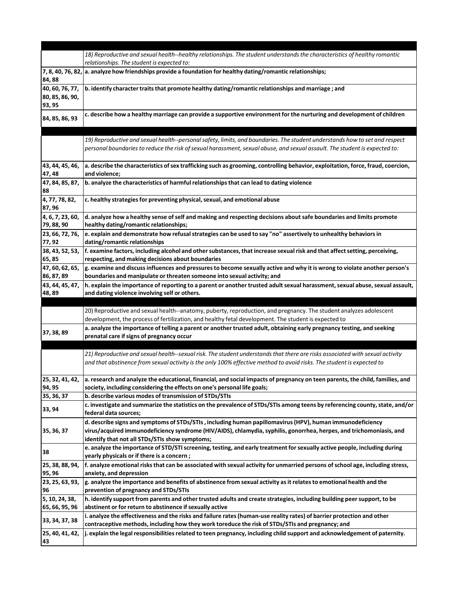|                                              | 18) Reproductive and sexual health--healthy relationships. The student understands the characteristics of healthy romantic                                                                                                                                                          |
|----------------------------------------------|-------------------------------------------------------------------------------------------------------------------------------------------------------------------------------------------------------------------------------------------------------------------------------------|
|                                              | relationships. The student is expected to:                                                                                                                                                                                                                                          |
| 84,88                                        | 7, 8, 40, 76, 82, a. analyze how friendships provide a foundation for healthy dating/romantic relationships;                                                                                                                                                                        |
| 40, 60, 76, 77,<br>80, 85, 86, 90,<br>93, 95 | b. identify character traits that promote healthy dating/romantic relationships and marriage; and                                                                                                                                                                                   |
| 84, 85, 86, 93                               | c. describe how a healthy marriage can provide a supportive environment for the nurturing and development of children                                                                                                                                                               |
|                                              |                                                                                                                                                                                                                                                                                     |
|                                              | 19) Reproductive and sexual health--personal safety, limits, and boundaries. The student understands how to set and respect<br>personal boundaries to reduce the risk of sexual harassment, sexual abuse, and sexual assault. The student is expected to:                           |
| 43, 44, 45, 46,<br>47, 48                    | a. describe the characteristics of sex trafficking such as grooming, controlling behavior, exploitation, force, fraud, coercion,<br>and violence;                                                                                                                                   |
| 47, 84, 85, 87,<br>88                        | b. analyze the characteristics of harmful relationships that can lead to dating violence                                                                                                                                                                                            |
| 4, 77, 78, 82,<br>87,96                      | c. healthy strategies for preventing physical, sexual, and emotional abuse                                                                                                                                                                                                          |
| 4, 6, 7, 23, 60,<br>79, 88, 90               | d. analyze how a healthy sense of self and making and respecting decisions about safe boundaries and limits promote<br>healthy dating/romantic relationships;                                                                                                                       |
| 23, 66, 72, 76,<br>77,92                     | e. explain and demonstrate how refusal strategies can be used to say "no" assertively to unhealthy behaviors in<br>dating/romantic relationships                                                                                                                                    |
| 38, 43, 52, 53,                              | f. examine factors, including alcohol and other substances, that increase sexual risk and that affect setting, perceiving,                                                                                                                                                          |
| 65,85                                        | respecting, and making decisions about boundaries                                                                                                                                                                                                                                   |
| 47, 60, 62, 65,                              | g. examine and discuss influences and pressures to become sexually active and why it is wrong to violate another person's                                                                                                                                                           |
| 86, 87, 89                                   | boundaries and manipulate or threaten someone into sexual activity; and                                                                                                                                                                                                             |
| 43, 44, 45, 47,<br>48,89                     | h. explain the importance of reporting to a parent or another trusted adult sexual harassment, sexual abuse, sexual assault,<br>and dating violence involving self or others.                                                                                                       |
|                                              |                                                                                                                                                                                                                                                                                     |
|                                              | 20) Reproductive and sexual health--anatomy, puberty, reproduction, and pregnancy. The student analyzes adolescent                                                                                                                                                                  |
|                                              | development, the process of fertilization, and healthy fetal development. The student is expected to                                                                                                                                                                                |
|                                              | a. analyze the importance of telling a parent or another trusted adult, obtaining early pregnancy testing, and seeking                                                                                                                                                              |
| 37, 38, 89                                   | prenatal care if signs of pregnancy occur                                                                                                                                                                                                                                           |
|                                              |                                                                                                                                                                                                                                                                                     |
|                                              | 21) Reproductive and sexual health--sexual risk. The student understands that there are risks associated with sexual activity<br>and that abstinence from sexual activity is the only 100% effective method to avoid risks. The student is expected to                              |
| 94, 95                                       | 25, 32, 41, 42, a. research and analyze the educational, financial, and social impacts of pregnancy on teen parents, the child, families, and<br>society, including considering the effects on one's personal life goals;                                                           |
| 35, 36, 37                                   | b. describe various modes of transmission of STDs/STIs                                                                                                                                                                                                                              |
| 33, 94                                       | c. investigate and summarize the statistics on the prevalence of STDs/STIs among teens by referencing county, state, and/or<br>federal data sources;                                                                                                                                |
| 35, 36, 37                                   | d. describe signs and symptoms of STDs/STIs, including human papillomavirus (HPV), human immunodeficiency<br>virus/acquired immunodeficiency syndrome (HIV/AIDS), chlamydia, syphilis, gonorrhea, herpes, and trichomoniasis, and<br>identify that not all STDs/STIs show symptoms; |
| 38                                           | e. analyze the importance of STD/STI screening, testing, and early treatment for sexually active people, including during<br>yearly physicals or if there is a concern;                                                                                                             |
| 25, 38, 88, 94,<br>95, 96                    | f. analyze emotional risks that can be associated with sexual activity for unmarried persons of school age, including stress,<br>anxiety, and depression                                                                                                                            |
| 23, 25, 63, 93,                              | g. analyze the importance and benefits of abstinence from sexual activity as it relates to emotional health and the                                                                                                                                                                 |
| 96                                           | prevention of pregnancy and STDs/STIs                                                                                                                                                                                                                                               |
| 5, 10, 24, 38,<br>65, 66, 95, 96             | h. identify support from parents and other trusted adults and create strategies, including building peer support, to be<br>abstinent or for return to abstinence if sexually active                                                                                                 |
| 33, 34, 37, 38                               | i. analyze the effectiveness and the risks and failure rates (human-use reality rates) of barrier protection and other<br>contraceptive methods, including how they work toreduce the risk of STDs/STIs and pregnancy; and                                                          |
| 25, 40, 41, 42,<br>43                        | j. explain the legal responsibilities related to teen pregnancy, including child support and acknowledgement of paternity.                                                                                                                                                          |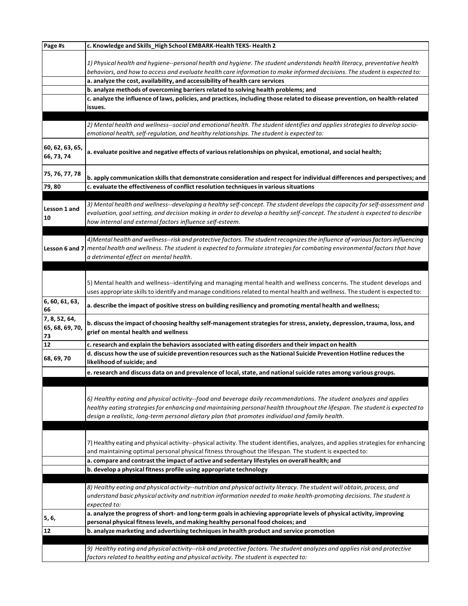| Page #s                       | c. Knowledge and Skills_High School EMBARK-Health TEKS- Health 2                                                                                                                                                                                      |
|-------------------------------|-------------------------------------------------------------------------------------------------------------------------------------------------------------------------------------------------------------------------------------------------------|
|                               |                                                                                                                                                                                                                                                       |
|                               | 1) Physical health and hygiene--personal health and hygiene. The student understands health literacy, preventative health                                                                                                                             |
|                               | behaviors, and how to access and evaluate health care information to make informed decisions. The student is expected to:                                                                                                                             |
|                               | a. analyze the cost, availability, and accessibility of health care services                                                                                                                                                                          |
|                               | b. analyze methods of overcoming barriers related to solving health problems; and                                                                                                                                                                     |
|                               | c. analyze the influence of laws, policies, and practices, including those related to disease prevention, on health-related                                                                                                                           |
|                               | issues.                                                                                                                                                                                                                                               |
|                               |                                                                                                                                                                                                                                                       |
|                               | 2) Mental health and wellness--social and emotional health. The student identifies and applies strategies to develop socio-                                                                                                                           |
|                               | emotional health, self-regulation, and healthy relationships. The student is expected to:                                                                                                                                                             |
| 60, 62, 63, 65,<br>66, 73, 74 | a. evaluate positive and negative effects of various relationships on physical, emotional, and social health;                                                                                                                                         |
|                               |                                                                                                                                                                                                                                                       |
| 75, 76, 77, 78                | b. apply communication skills that demonstrate consideration and respect for individual differences and perspectives; and                                                                                                                             |
| 79,80                         | c. evaluate the effectiveness of conflict resolution techniques in various situations                                                                                                                                                                 |
|                               |                                                                                                                                                                                                                                                       |
|                               | 3) Mental health and wellness--developing a healthy self-concept. The student develops the capacity for self-assessment and                                                                                                                           |
| Lesson 1 and                  | evaluation, goal setting, and decision making in order to develop a healthy self-concept. The student is expected to describe                                                                                                                         |
| 10                            | how internal and external factors influence self-esteem.                                                                                                                                                                                              |
|                               |                                                                                                                                                                                                                                                       |
|                               | 4)Mental health and wellness--risk and protective factors. The student recognizes the influence of various factors influencing                                                                                                                        |
| Lesson 6 and 7                | mental health and wellness. The student is expected to formulate strategies for combating environmental factors that have                                                                                                                             |
|                               | a detrimental effect on mental health.                                                                                                                                                                                                                |
|                               |                                                                                                                                                                                                                                                       |
|                               |                                                                                                                                                                                                                                                       |
|                               | 5) Mental health and wellness--identifying and managing mental health and wellness concerns. The student develops and<br>uses appropriate skills to identify and manage conditions related to mental health and wellness. The student is expected to: |
|                               |                                                                                                                                                                                                                                                       |
| 6, 60, 61, 63,<br>66          | a. describe the impact of positive stress on building resiliency and promoting mental health and wellness;                                                                                                                                            |
| 7, 8, 52, 64,                 |                                                                                                                                                                                                                                                       |
| 65, 68, 69, 70,               | b. discuss the impact of choosing healthy self-management strategies for stress, anxiety, depression, trauma, loss, and                                                                                                                               |
| 73                            | grief on mental health and wellness                                                                                                                                                                                                                   |
| 12                            | c. research and explain the behaviors associated with eating disorders and their impact on health                                                                                                                                                     |
|                               | d. discuss how the use of suicide prevention resources such as the National Suicide Prevention Hotline reduces the                                                                                                                                    |
| 68, 69, 70                    | likelihood of suicide; and                                                                                                                                                                                                                            |
|                               | e. research and discuss data on and prevalence of local, state, and national suicide rates among various groups.                                                                                                                                      |
|                               |                                                                                                                                                                                                                                                       |
|                               |                                                                                                                                                                                                                                                       |
|                               | 6) Healthy eating and physical activity--food and beverage daily recommendations. The student analyzes and applies                                                                                                                                    |
|                               | healthy eating strategies for enhancing and maintaining personal health throughout the lifespan. The student is expected to                                                                                                                           |
|                               | design a realistic, long-term personal dietary plan that promotes individual and family health.                                                                                                                                                       |
|                               |                                                                                                                                                                                                                                                       |
|                               |                                                                                                                                                                                                                                                       |
|                               | 7) Healthy eating and physical activity--physical activity. The student identifies, analyzes, and applies strategies for enhancing                                                                                                                    |
|                               | and maintaining optimal personal physical fitness throughout the lifespan. The student is expected to:                                                                                                                                                |
|                               | a. compare and contrast the impact of active and sedentary lifestyles on overall health; and                                                                                                                                                          |
|                               | b. develop a physical fitness profile using appropriate technology                                                                                                                                                                                    |
|                               |                                                                                                                                                                                                                                                       |
|                               | 8) Healthy eating and physical activity--nutrition and physical activity literacy. The student will obtain, process, and                                                                                                                              |
|                               | understand basic physical activity and nutrition information needed to make health-promoting decisions. The student is                                                                                                                                |
|                               |                                                                                                                                                                                                                                                       |
|                               | expected to:<br>a. analyze the progress of short- and long-term goals in achieving appropriate levels of physical activity, improving                                                                                                                 |
| 5, 6,                         | personal physical fitness levels, and making healthy personal food choices; and                                                                                                                                                                       |
| 12                            |                                                                                                                                                                                                                                                       |
|                               | b. analyze marketing and advertising techniques in health product and service promotion                                                                                                                                                               |
|                               | 9) Healthy eating and physical activity--risk and protective factors. The student analyzes and applies risk and protective                                                                                                                            |
|                               | factors related to healthy eating and physical activity. The student is expected to:                                                                                                                                                                  |
|                               |                                                                                                                                                                                                                                                       |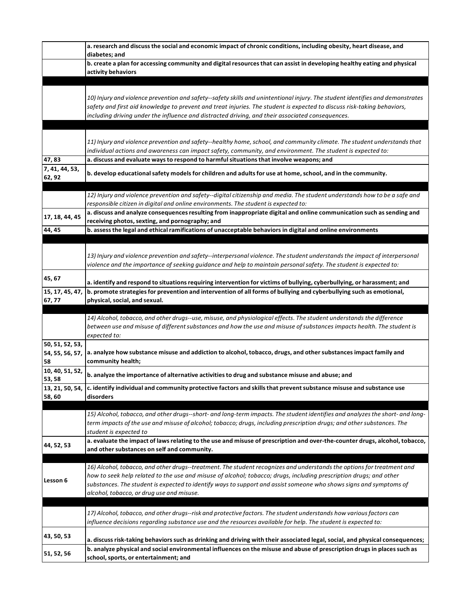|                                          | a. research and discuss the social and economic impact of chronic conditions, including obesity, heart disease, and<br>diabetes; and                                                                                                                                                                                                                                                                            |
|------------------------------------------|-----------------------------------------------------------------------------------------------------------------------------------------------------------------------------------------------------------------------------------------------------------------------------------------------------------------------------------------------------------------------------------------------------------------|
|                                          | b. create a plan for accessing community and digital resources that can assist in developing healthy eating and physical<br>activity behaviors                                                                                                                                                                                                                                                                  |
|                                          | 10) Injury and violence prevention and safety--safety skills and unintentional injury. The student identifies and demonstrates<br>safety and first aid knowledge to prevent and treat injuries. The student is expected to discuss risk-taking behaviors,<br>including driving under the influence and distracted driving, and their associated consequences.                                                   |
|                                          | 11) Injury and violence prevention and safety--healthy home, school, and community climate. The student understands that<br>individual actions and awareness can impact safety, community, and environment. The student is expected to:                                                                                                                                                                         |
| 47,83<br>7, 41, 44, 53,<br>62, 92        | a. discuss and evaluate ways to respond to harmful situations that involve weapons; and<br>b. develop educational safety models for children and adults for use at home, school, and in the community.                                                                                                                                                                                                          |
|                                          | 12) Injury and violence prevention and safety--digital citizenship and media. The student understands how to be a safe and<br>responsible citizen in digital and online environments. The student is expected to:<br>a. discuss and analyze consequences resulting from inappropriate digital and online communication such as sending and                                                                      |
| 17, 18, 44, 45<br>44, 45                 | receiving photos, sexting, and pornography; and<br>b. assess the legal and ethical ramifications of unacceptable behaviors in digital and online environments                                                                                                                                                                                                                                                   |
|                                          |                                                                                                                                                                                                                                                                                                                                                                                                                 |
|                                          | 13) Injury and violence prevention and safety--interpersonal violence. The student understands the impact of interpersonal<br>violence and the importance of seeking guidance and help to maintain personal safety. The student is expected to:                                                                                                                                                                 |
| 45, 67<br>15, 17, 45, 47,<br>67, 77      | a. identify and respond to situations requiring intervention for victims of bullying, cyberbullying, or harassment; and<br>b. promote strategies for prevention and intervention of all forms of bullying and cyberbullying such as emotional,<br>physical, social, and sexual.                                                                                                                                 |
|                                          |                                                                                                                                                                                                                                                                                                                                                                                                                 |
|                                          | 14) Alcohol, tobacco, and other drugs--use, misuse, and physiological effects. The student understands the difference<br>between use and misuse of different substances and how the use and misuse of substances impacts health. The student is<br>expected to:                                                                                                                                                 |
| 50, 51, 52, 53,<br>54, 55, 56, 57,<br>58 | a. analyze how substance misuse and addiction to alcohol, tobacco, drugs, and other substances impact family and<br>community health;                                                                                                                                                                                                                                                                           |
| 10, 40, 51, 52,<br>53, 58                | b. analyze the importance of alternative activities to drug and substance misuse and abuse; and                                                                                                                                                                                                                                                                                                                 |
| 58,60                                    | 13, 21, 50, 54, $\vert$ c. identify individual and community protective factors and skills that prevent substance misuse and substance use<br>disorders                                                                                                                                                                                                                                                         |
|                                          | 15) Alcohol, tobacco, and other drugs--short- and long-term impacts. The student identifies and analyzes the short- and long-<br>term impacts of the use and misuse of alcohol; tobacco; drugs, including prescription drugs; and other substances. The<br>student is expected to                                                                                                                               |
| 44, 52, 53                               | a. evaluate the impact of laws relating to the use and misuse of prescription and over-the-counter drugs, alcohol, tobacco,<br>and other substances on self and community.                                                                                                                                                                                                                                      |
|                                          |                                                                                                                                                                                                                                                                                                                                                                                                                 |
| Lesson 6                                 | 16) Alcohol, tobacco, and other drugs--treatment. The student recognizes and understands the options for treatment and<br>how to seek help related to the use and misuse of alcohol; tobacco; drugs, including prescription drugs; and other<br>substances. The student is expected to identify ways to support and assist someone who shows signs and symptoms of<br>alcohol, tobacco, or drug use and misuse. |
|                                          | 17) Alcohol, tobacco, and other drugs--risk and protective factors. The student understands how various factors can<br>influence decisions regarding substance use and the resources available for help. The student is expected to:                                                                                                                                                                            |
| 43, 50, 53                               | a. discuss risk-taking behaviors such as drinking and driving with their associated legal, social, and physical consequences;                                                                                                                                                                                                                                                                                   |
| 51, 52, 56                               | b. analyze physical and social environmental influences on the misuse and abuse of prescription drugs in places such as<br>school, sports, or entertainment; and                                                                                                                                                                                                                                                |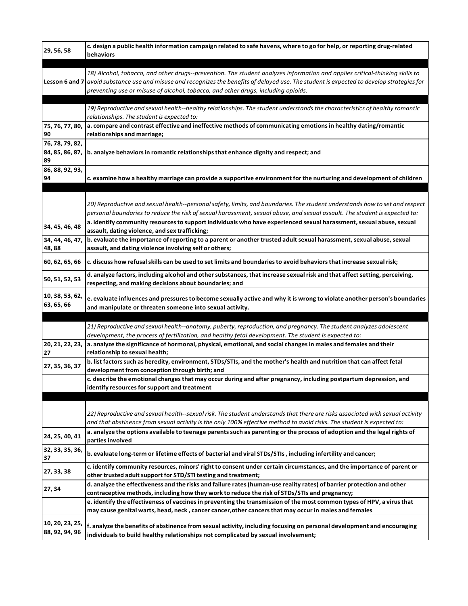| 29, 56, 58                               | c. design a public health information campaign related to safe havens, where to go for help, or reporting drug-related<br>behaviors                                                                                                                                                                                                                             |
|------------------------------------------|-----------------------------------------------------------------------------------------------------------------------------------------------------------------------------------------------------------------------------------------------------------------------------------------------------------------------------------------------------------------|
|                                          |                                                                                                                                                                                                                                                                                                                                                                 |
|                                          | 18) Alcohol, tobacco, and other drugs--prevention. The student analyzes information and applies critical-thinking skills to<br>Lesson 6 and 7 avoid substance use and misuse and recognizes the benefits of delayed use. The student is expected to develop strategies for<br>preventing use or misuse of alcohol, tobacco, and other drugs, including opioids. |
|                                          |                                                                                                                                                                                                                                                                                                                                                                 |
|                                          | 19) Reproductive and sexual health--healthy relationships. The student understands the characteristics of healthy romantic<br>relationships. The student is expected to:                                                                                                                                                                                        |
| 75, 76, 77, 80,<br>90                    | a. compare and contrast effective and ineffective methods of communicating emotions in healthy dating/romantic<br>relationships and marriage;                                                                                                                                                                                                                   |
|                                          |                                                                                                                                                                                                                                                                                                                                                                 |
| 76, 78, 79, 82,<br>84, 85, 86, 87,<br>89 | b. analyze behaviors in romantic relationships that enhance dignity and respect; and                                                                                                                                                                                                                                                                            |
| 86, 88, 92, 93,                          |                                                                                                                                                                                                                                                                                                                                                                 |
| 94                                       | c. examine how a healthy marriage can provide a supportive environment for the nurturing and development of children                                                                                                                                                                                                                                            |
|                                          |                                                                                                                                                                                                                                                                                                                                                                 |
|                                          |                                                                                                                                                                                                                                                                                                                                                                 |
|                                          | 20) Reproductive and sexual health--personal safety, limits, and boundaries. The student understands how to set and respect                                                                                                                                                                                                                                     |
|                                          | personal boundaries to reduce the risk of sexual harassment, sexual abuse, and sexual assault. The student is expected to:                                                                                                                                                                                                                                      |
|                                          | a. identify community resources to support individuals who have experienced sexual harassment, sexual abuse, sexual                                                                                                                                                                                                                                             |
| 34, 45, 46, 48                           | assault, dating violence, and sex trafficking;                                                                                                                                                                                                                                                                                                                  |
| 34, 44, 46, 47,                          | b. evaluate the importance of reporting to a parent or another trusted adult sexual harassment, sexual abuse, sexual                                                                                                                                                                                                                                            |
| 48,88                                    | assault, and dating violence involving self or others;                                                                                                                                                                                                                                                                                                          |
| 60, 62, 65, 66                           | c. discuss how refusal skills can be used to set limits and boundaries to avoid behaviors that increase sexual risk;                                                                                                                                                                                                                                            |
| 50, 51, 52, 53                           | d. analyze factors, including alcohol and other substances, that increase sexual risk and that affect setting, perceiving,<br>respecting, and making decisions about boundaries; and                                                                                                                                                                            |
| 10, 38, 53, 62,                          |                                                                                                                                                                                                                                                                                                                                                                 |
| 63, 65, 66                               | e. evaluate influences and pressures to become sexually active and why it is wrong to violate another person's boundaries                                                                                                                                                                                                                                       |
|                                          | and manipulate or threaten someone into sexual activity.                                                                                                                                                                                                                                                                                                        |
|                                          |                                                                                                                                                                                                                                                                                                                                                                 |
|                                          | 21) Reproductive and sexual health--anatomy, puberty, reproduction, and pregnancy. The student analyzes adolescent                                                                                                                                                                                                                                              |
|                                          | development, the process of fertilization, and healthy fetal development. The student is expected to:                                                                                                                                                                                                                                                           |
| 20, 21, 22, 23,                          | a. analyze the significance of hormonal, physical, emotional, and social changes in males and females and their                                                                                                                                                                                                                                                 |
| 27                                       | relationship to sexual health;                                                                                                                                                                                                                                                                                                                                  |
| 27, 35, 36, 37                           | b. list factors such as heredity, environment, STDs/STIs, and the mother's health and nutrition that can affect fetal                                                                                                                                                                                                                                           |
|                                          | development from conception through birth; and                                                                                                                                                                                                                                                                                                                  |
|                                          | c. describe the emotional changes that may occur during and after pregnancy, including postpartum depression, and                                                                                                                                                                                                                                               |
|                                          | identify resources for support and treatment                                                                                                                                                                                                                                                                                                                    |
|                                          |                                                                                                                                                                                                                                                                                                                                                                 |
|                                          |                                                                                                                                                                                                                                                                                                                                                                 |
|                                          | 22) Reproductive and sexual health--sexual risk. The student understands that there are risks associated with sexual activity                                                                                                                                                                                                                                   |
|                                          | and that abstinence from sexual activity is the only 100% effective method to avoid risks. The student is expected to:                                                                                                                                                                                                                                          |
| 24, 25, 40, 41                           | a. analyze the options available to teenage parents such as parenting or the process of adoption and the legal rights of<br>parties involved                                                                                                                                                                                                                    |
| 32, 33, 35, 36,<br>37                    | b. evaluate long-term or lifetime effects of bacterial and viral STDs/STIs, including infertility and cancer;                                                                                                                                                                                                                                                   |
| 27, 33, 38                               | c. identify community resources, minors' right to consent under certain circumstances, and the importance of parent or                                                                                                                                                                                                                                          |
|                                          | other trusted adult support for STD/STI testing and treatment;                                                                                                                                                                                                                                                                                                  |
|                                          | d. analyze the effectiveness and the risks and failure rates (human-use reality rates) of barrier protection and other                                                                                                                                                                                                                                          |
| 27, 34                                   | contraceptive methods, including how they work to reduce the risk of STDs/STIs and pregnancy;                                                                                                                                                                                                                                                                   |
|                                          | e. identify the effectiveness of vaccines in preventing the transmission of the most common types of HPV, a virus that                                                                                                                                                                                                                                          |
|                                          | may cause genital warts, head, neck, cancer cancer, other cancers that may occur in males and females                                                                                                                                                                                                                                                           |
| 10, 20, 23, 25,                          |                                                                                                                                                                                                                                                                                                                                                                 |
| 88, 92, 94, 96                           | f. analyze the benefits of abstinence from sexual activity, including focusing on personal development and encouraging<br>individuals to build healthy relationships not complicated by sexual involvement;                                                                                                                                                     |